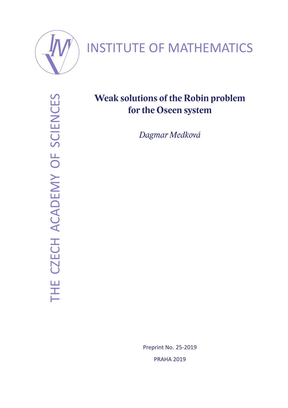

# INSTITUTE OF MATHEMATICS

THE CZECH ACADEMY OF SCIENCES THE CZECH ACADEMY OF SCIENCES

## **Weak solutions of the Robin problem for the Oseen system**

*Dagmar Medková*

Preprint No. 25-2019 PRAHA 2019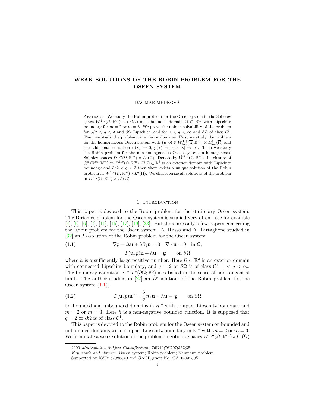### WEAK SOLUTIONS OF THE ROBIN PROBLEM FOR THE OSEEN SYSTEM

DAGMAR MEDKOVA´

Abstract. We study the Robin problem for the Oseen system in the Sobolev space  $W^{1,q}(\Omega;\mathbb{R}^m) \times L^q(\Omega)$  on a bounded domain  $\Omega \subset \mathbb{R}^m$  with Lipschitz boundary for  $m = 2$  or  $m = 3$ . We prove the unique solvability of the problem for  $3/2 < q < 3$  and  $\partial\Omega$  Lipschitz, and for  $1 < q < \infty$  and  $\partial\Omega$  of class  $\mathcal{C}^1$ . Then we study the problem on exterior domains. First we study the problem for the homogeneous Oseen system with  $(\mathbf{u}, p) \in W^{1,q}_{loc}(\overline{\Omega}; \mathbb{R}^m) \times L^q_{loc}(\overline{\Omega})$  and<br>the additional condition  $\mathbf{u}(\mathbf{x}) \to 0$ ,  $p(\mathbf{x}) \to 0$  as  $|\mathbf{x}| \to \infty$ . Then we study the Robin problem for the non-homogeneous Oseen system in homogeneous Sobolev spaces  $D^{1,q}(\Omega,\mathbb{R}^m)\times L^q(\Omega)$ . Denote by  $\tilde{W}^{1,q}(\Omega;\mathbb{R}^m)$  the closure of  $\mathcal{C}_c^{\infty}(\mathbb{R}^m;\mathbb{R}^m)$  in  $D^{1,q}(\Omega,\mathbb{R}^m)$ . If  $\Omega \subset \mathbb{R}^3$  is an exterior domain with Lipschitz boundary and  $3/2 < q < 3$  then there exists a unique solution of the Robin problem in  $\tilde{W}^{1,q}(\Omega,\mathbb{R}^m)\times L^q(\Omega)$ . We characterize all solutions of the problem in  $D^{1,q}(\Omega,\mathbb{R}^m)\times L^q(\Omega)$ .

#### 1. Introduction

This paper is devoted to the Robin problem for the stationary Oseen system. The Dirichlet problem for the Oseen system is studied very often - see for example [4], [5], [6], [7], [10], [15], [17], [19], [33]. But there are only a few papers concerning the Robin problem for the Oseen system. A. Russo and A. Tartaglione studied in  $[32]$  an  $L<sup>q</sup>$ -solution of the Robin problem for the Oseen system

(1.1) 
$$
\nabla p - \Delta \mathbf{u} + \lambda \partial_1 \mathbf{u} = 0 \quad \nabla \cdot \mathbf{u} = 0 \quad \text{in } \Omega,
$$

$$
T(\mathbf{u}, p)\mathbf{n} + h\mathbf{u} = \mathbf{g} \qquad \text{on } \partial\Omega
$$

where h is a sufficiently large positive number. Here  $\Omega \subset \mathbb{R}^3$  is an exterior domain with connected Lipschitz boundary, and  $q = 2$  or  $\partial\Omega$  is of class  $\mathcal{C}^1$ ,  $1 < q < \infty$ . The boundary condition  $\mathbf{g} \in L^q(\partial\Omega;\mathbb{R}^3)$  is satisfied in the sense of non-tangential limit. The author studied in  $[27]$  an  $L<sup>q</sup>$ -solutions of the Robin problem for the Oseen system (1.1),

(1.2) 
$$
T(\mathbf{u},p)\mathbf{n}^{\Omega} - \frac{\lambda}{2}n_1\mathbf{u} + h\mathbf{u} = \mathbf{g} \quad \text{on } \partial\Omega
$$

for bounded and unbounded domains in  $R^m$  with compact Lipschitz boundary and  $m = 2$  or  $m = 3$ . Here h is a non-negative bounded function. It is supposed that  $q = 2$  or  $\partial\Omega$  is of class  $\mathcal{C}^1$ .

This paper is devoted to the Robin problem for the Oseen system on bounded and unbounded domains with compact Lipschitz boundary in  $\mathbb{R}^m$  with  $m = 2$  or  $m = 3$ . We formulate a weak solution of the problem in Sobolev spaces  $W^{1,q}(\Omega,\mathbb{R}^m)\times L^q(\Omega)$ 

<sup>2000</sup> Mathematics Subject Classification. 76D10;76D07;35Q35.

Key words and phrases. Oseen system; Robin problem; Neumann problem.

Supported by RVO:  $67985840$  and  $GACR$  grant No.  $GA16-03230S$ .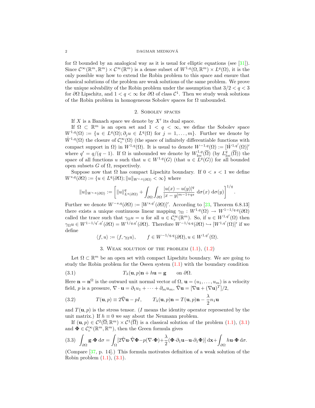#### 2 DAGMAR MEDKOVA´

for  $\Omega$  bounded by an analogical way as it is usual for elliptic equations (see [31]). Since  $\mathcal{C}^{\infty}(\mathbb{R}^m, \mathbb{R}^m) \times \mathcal{C}^{\infty}(\mathbb{R}^m)$  is a dense subset of  $W^{1,q}(\Omega, \mathbb{R}^m) \times L^q(\Omega)$ , it is the only possible way how to extend the Robin problem to this space and ensure that classical solutions of the problem are weak solutions of the same problem. We prove the unique solvability of the Robin problem under the assumption that  $3/2 < q < 3$ for  $\partial\Omega$  Lipschitz, and  $1 < q < \infty$  for  $\partial\Omega$  of class  $\mathcal{C}^1$ . Then we study weak solutions of the Robin problem in homogeneous Sobolev spaces for  $\Omega$  unbounded.

#### 2. Sobolev spaces

If  $X$  is a Banach space we denote by  $X'$  its dual space.

If  $\Omega \subset \mathbb{R}^m$  is an open set and  $1 \leq q \leq \infty$ , we define the Sobolev space  $W^{1,q}(\Omega) := \{ u \in L^q(\Omega) ; \partial_j u \in L^q(\Omega) \text{ for } j = 1, \ldots, m \}.$  Further we denote by  $\mathring{W}^{1,q}(\Omega)$  the closure of  $\mathcal{C}_c^{\infty}(\Omega)$  (the space of infinitely differentiable functions with compact support in  $\Omega$ ) in  $W^{1,q}(\Omega)$ . It is usual to denote  $W^{-1,q}(\Omega) := [\mathring{W}^{1,q'}(\Omega)]'$ where  $q' = q/(q-1)$ . If  $\Omega$  is unbounded we denote by  $W^{1,q}_{loc}(\overline{\Omega})$  (by  $L^q_{loc}(\overline{\Omega})$ ) the space of all functions u such that  $u \in W^{1,q}(G)$  (that  $u \in L^q(G)$ ) for all bounded open subsets  $G$  of  $\Omega$ , respectively.

Suppose now that  $\Omega$  has compact Lipschitz boundary. If  $0 < s < 1$  we define  $W^{s,q}(\partial\Omega) := \{u \in L^q(\partial\Omega); ||u||_{W^{s,q}(\partial\Omega)} < \infty\}$  where

$$
||u||_{W^{s,q}(\partial\Omega)} := \left[||u||^q_{L^q(\partial\Omega)} + \int_{\partial\Omega} \int_{\partial\Omega} \frac{|u(x) - u(y)|^q}{|x - y|^{m-1+qs}} d\sigma(x) d\sigma(y)\right]^{1/q}.
$$

Further we denote  $W^{-s,q}(\partial\Omega) := [W^{s,q'}(\partial\Omega)]'$ . According to [23, Theorem 6.8.13] there exists a unique continuous linear mapping  $\gamma_{\Omega}: W^{1,q}(\Omega) \to W^{1-1/q,q}(\partial \Omega)$ called the trace such that  $\gamma_{\Omega} u = u$  for all  $u \in C_c^{\infty}(\mathbb{R}^m)$ . So, if  $u \in W^{1,q'}(\Omega)$  then  $\gamma_{\Omega} u \in W^{1-1/q',q'}(\partial \Omega) = W^{1/q,q'}(\partial \Omega)$ . Therefore  $W^{-1/q,q}(\partial \Omega) \hookrightarrow [W^{1,q'}(\Omega)]'$  if we define

$$
\langle f, u \rangle := \langle f, \gamma_{\Omega} u \rangle, \qquad f \in W^{-1/q, q}(\partial \Omega), u \in W^{1, q'}(\Omega).
$$

3. WEAK SOLUTION OF THE PROBLEM  $(1.1)$ ,  $(1.2)$ 

Let  $\Omega \subset \mathbb{R}^m$  be an open set with compact Lipschitz boundary. We are going to study the Robin problem for the Oseen system (1.1) with the boundary condition

(3.1) 
$$
T_{\lambda}(\mathbf{u},p)\mathbf{n} + h\mathbf{u} = \mathbf{g} \quad \text{on } \partial\Omega.
$$

Here  $\mathbf{n} = \mathbf{n}^{\Omega}$  is the outward unit normal vector of  $\Omega$ ,  $\mathbf{u} = (u_1, \ldots, u_m)$  is a velocity field, p is a pressure,  $\nabla \cdot \mathbf{u} = \partial_1 u_1 + \cdots + \partial_m u_m$ ,  $\hat{\nabla} \mathbf{u} = [\nabla \mathbf{u} + (\nabla \mathbf{u})^T]/2$ ,

(3.2) 
$$
T(\mathbf{u},p) \equiv 2\hat{\nabla}\mathbf{u} - pI, \qquad T_{\lambda}(\mathbf{u},p)\mathbf{n} = T(\mathbf{u},p)\mathbf{n} - \frac{\lambda}{2}n_1\mathbf{u}
$$

and  $T(\mathbf{u}, p)$  is the stress tensor. (I means the identity operator represented by the unit matrix.) If  $h \equiv 0$  we say about the Neumann problem.

If  $(\mathbf{u}, p) \in C^2(\overline{\Omega}; \mathbb{R}^m) \times C^1(\overline{\Omega})$  is a classical solution of the problem  $(1.1), (3.1)$ and  $\mathbf{\Phi} \in \mathcal{C}_c^{\infty}(\mathbb{R}^m, \mathbb{R}^m)$ , then the Green formula gives

(3.3) 
$$
\int_{\partial\Omega} \mathbf{g} \cdot \mathbf{\Phi} d\sigma = \int_{\Omega} [2\hat{\nabla} \mathbf{u} \cdot \hat{\nabla} \mathbf{\Phi} - p(\nabla \cdot \mathbf{\Phi}) + \frac{\lambda}{2} (\mathbf{\Phi} \cdot \partial_1 \mathbf{u} - \mathbf{u} \cdot \partial_1 \mathbf{\Phi})] d\mathbf{x} + \int_{\partial\Omega} h \mathbf{u} \cdot \mathbf{\Phi} d\sigma.
$$

(Compare [37, p. 14].) This formula motivates definition of a weak solution of the Robin problem  $(1.1)$ ,  $(3.1)$ .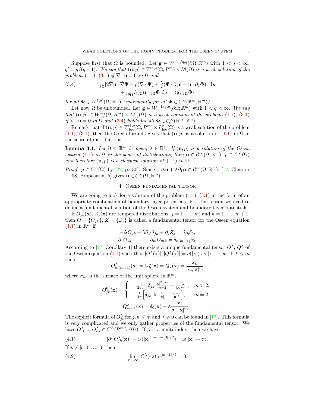Suppose first that  $\Omega$  is bounded. Let  $\mathbf{g} \in W^{-1/q,q}(\partial \Omega;\mathbb{R}^m)$  with  $1 < q < \infty$ ,  $q' = q/(q-1)$ . We say that  $(\mathbf{u}, p) \in W^{1,q}(\Omega, R^m) \times L^q(\Omega)$  is a weak solution of the problem (1.1), (3.1) if  $\nabla \cdot \mathbf{u} = 0$  in  $\Omega$  and

(3.4) 
$$
\int_{\Omega} [2\hat{\nabla} \mathbf{u} \cdot \hat{\nabla} \Phi - p(\nabla \cdot \Phi) + \frac{\lambda}{2} (\Phi \cdot \partial_1 \mathbf{u} - \mathbf{u} \cdot \partial_1 \Phi)] \, d\mathbf{x} + \int_{\partial \Omega} h \gamma_{\Omega} \mathbf{u} \cdot \gamma_{\Omega} \Phi \, d\sigma = \langle \mathbf{g}, \gamma_{\Omega} \Phi \rangle
$$

for all  $\Phi \in W^{1,q'}(\Omega,\mathbb{R}^m)$  (equivalently for all  $\Phi \in C_c^{\infty}(\mathbb{R}^m,\mathbb{R}^m)$ ).

Let now  $\Omega$  be unbounded. Let  $\mathbf{g} \in W^{-1/q,q}(\partial \Omega; \mathbb{R}^m)$  with  $1 < q < \infty$ . We say that  $(\mathbf{u}, p) \in W^{1,q}_{loc}(\overline{\Omega}, R^m) \times L^q_{loc}(\overline{\Omega})$  is a weak solution of the problem (1.1), (3.1) if  $\nabla \cdot \mathbf{u} = 0$  in  $\Omega$  and (3.4) holds for all  $\Phi \in C_c^{\infty}(\mathbb{R}^m, \mathbb{R}^m)$ .

Remark that if  $(\mathbf{u}, p) \in W^{1,q}_{loc}(\overline{\Omega}, R^m) \times L^q_{loc}(\overline{\Omega})$  is a weak solution of the problem (1.1), (3.1), then the Green formula gives that  $(\mathbf{u}, p)$  is a solution of (1.1) in  $\Omega$  in the sense of distributions.

**Lemma 3.1.** Let  $\Omega \subset \mathbb{R}^m$  be open,  $\lambda \in \mathbb{R}^1$ . If  $(\mathbf{u}, p)$  is a solution of the Oseen system (1.1) in  $\Omega$  in the sense of distributions, then  $\mathbf{u} \in C^{\infty}(\Omega, \mathbb{R}^m)$ ,  $p \in C^{\infty}(\Omega)$ and therefore  $(\mathbf{u}, p)$  is a classical solution of  $(1.1)$  in  $\Omega$ .

*Proof.*  $p \in C^{\infty}(\Omega)$  by [22, p. 30]. Since  $-\Delta \mathbf{u} + \lambda \partial_1 \mathbf{u} \in C^{\infty}(\Omega, \mathbb{R}^m)$ , [12, Chapter II, §8, Proposition 5] gives  $\mathbf{u} \in C^{\infty}(\Omega, \mathbb{R}^m)$ .  $\Box$ 

#### 4. Oseen fundamental tensor

We are going to look for a solution of the problem  $(1.1)$ ,  $(3.1)$  in the form of an appropriate combination of boundary layer potentials. For this reason we need to define a fundamental solution of the Oseen system and boundary layer potentials.

If  $O_{ik}(\mathbf{x})$ ,  $Z_i(\mathbf{x})$  are tempered distributions,  $j = 1, \ldots, m$ , and  $k = 1, \ldots, m + 1$ , then  $O = \{O_{jk}\}\$ ,  $Z = \{Z_j\}$  is called a fundamental tensor for the Oseen equation  $(1.1)$  in  $\mathbb{R}^m$  if

$$
-\Delta O_{jk} + \lambda \partial_1 O_{jk} + \partial_j Z_k = \delta_{jk} \delta_0,
$$
  

$$
\partial_1 O_{1k} + \dots + \partial_m O_{mk} = \delta_{k(m+1)} \delta_0.
$$

According to [27, Corollary 1] there exists a unique fundamental tensor  $O^{\lambda}$ ,  $Q^{\lambda}$  of the Oseen equation (1.1) such that  $|O^{\lambda}(\mathbf{x})|, |Q^{\lambda}(\mathbf{x})| = o(|\mathbf{x}|)$  as  $|\mathbf{x}| \to \infty$ . If  $k \leq m$ then

$$
O_{k,(m+1)}^{\lambda}(\mathbf{x}) = Q_k^{\lambda}(\mathbf{x}) = Q_k(\mathbf{x}) = \frac{x_k}{\sigma_m |\mathbf{x}|^m}
$$

where  $\sigma_m$  is the surface of the unit sphere in  $\mathbb{R}^m$ ,

$$
O_{jk}^{0}(\mathbf{x}) = \begin{cases} \frac{1}{2\sigma_m} \left[ \delta_{jk} \frac{|\mathbf{x}|^{2-m}}{m-2} + \frac{x_j x_k}{|\mathbf{x}|^m} \right], & m > 2, \\ \frac{1}{4\pi} \left[ \delta_{jk} \ln \frac{1}{|\mathbf{x}|} + \frac{x_j x_k}{|\mathbf{x}|^2} \right], & m = 2, \\ Q_{m+1}^{\lambda}(\mathbf{x}) = \delta_0(\mathbf{x}) - \lambda \frac{x_1}{\sigma_m |\mathbf{x}|^m} .\end{cases}
$$

The explicit formula of  $O_{ji}^{\lambda}$  for  $j, k \leq m$  and  $\lambda \neq 0$  can be found in [17]. This formula is very complicated and we only gather properties of the fundamental tensor. We have  $O_{jk}^{\lambda} = O_{kj}^{\lambda} \in C^{\infty}(R^m \setminus \{0\})$ . If  $\beta$  is a multi-index, then we have

(4.1) 
$$
|\partial^{\beta} O_{jk}^{\lambda}(\mathbf{x})| = O(|\mathbf{x}|^{(1-m-|\beta|)/2}) \text{ as } |\mathbf{x}| \to \infty.
$$

If  $z \neq [c, 0, \ldots, 0]$  then (4.2)  $\lim_{r \to \infty} |O^{\lambda}(r\mathbf{z})| r^{(m-1)/2} = 0.$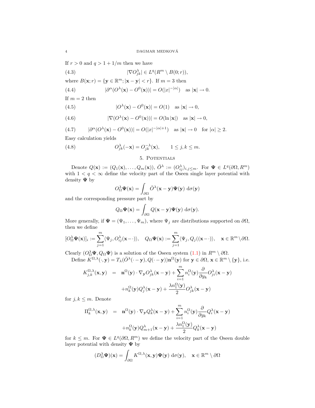If  $r > 0$  and  $q > 1 + 1/m$  then we have

(4.3) 
$$
|\nabla O_{jk}^{\lambda}| \in L^{q}(R^{m} \setminus B(0; r)),
$$

where  $B(\mathbf{x}; r) = {\mathbf{y} \in \mathbb{R}^m; |\mathbf{x} - \mathbf{y}| < r}.$  If  $m = 3$  then

(4.4) 
$$
|\partial^{\alpha}(\overline{O}^{\lambda}(\mathbf{x}) - O^{0}(\mathbf{x}))| = O(|x|^{-|\alpha|}) \text{ as } |\mathbf{x}| \to 0.
$$

If  $m = 2$  then

(4.5) 
$$
|O^{\lambda}(\mathbf{x}) - O^0(\mathbf{x})| = O(1) \text{ as } |\mathbf{x}| \to 0,
$$

(4.6) 
$$
|\nabla (O^{\lambda}(\mathbf{x}) - O^0(\mathbf{x}))| = O(\ln |\mathbf{x}|) \text{ as } |\mathbf{x}| \to 0,
$$

(4.7) 
$$
|\partial^{\alpha}(\overline{O}^{\lambda}(\mathbf{x}) - O^{0}(\mathbf{x}))| = O(|x|^{-|\alpha|+1}) \text{ as } |\mathbf{x}| \to 0 \text{ for } |\alpha| \ge 2.
$$

Easy calculation yields

(4.8) 
$$
O_{jk}^{\lambda}(-\mathbf{x}) = O_{jk}^{-\lambda}(\mathbf{x}), \qquad 1 \leq j, k \leq m.
$$

#### 5. Potentials

Denote  $Q(\mathbf{x}) := (Q_1(\mathbf{x}), \dots, Q_m(\mathbf{x})), \check{O}^{\lambda} := (O_{ij}^{\lambda})_{i,j \leq m}$ . For  $\Psi \in L^q(\partial \Omega, R^m)$ with  $1 < q < \infty$  define the velocity part of the Oseen single layer potential with density  $\Psi$  by

$$
O_{\Omega}^{\lambda} \Psi(\mathbf{x}) = \int_{\partial \Omega} \breve{O}^{\lambda}(\mathbf{x} - \mathbf{y}) \Psi(\mathbf{y}) \, d\sigma(\mathbf{y})
$$

and the corresponding pressure part by

$$
Q_{\Omega}\Psi(\mathbf{x}) = \int_{\partial\Omega} Q(\mathbf{x} - \mathbf{y})\Psi(\mathbf{y}) \, d\sigma(\mathbf{y}).
$$

More generally, if  $\Psi = (\Psi_1, \ldots, \Psi_m)$ , where  $\Psi_j$  are distributions supported on  $\partial\Omega$ , then we define

$$
[O_{\Omega}^{\lambda} \Psi(\mathbf{x})]_i := \sum_{j=1}^m \langle \Psi_j, O_{ij}^{\lambda}(\mathbf{x} - \cdot) \rangle, \quad Q_{\Omega} \Psi(\mathbf{x}) := \sum_{j=1}^m \langle \Psi_j, Q_j((\mathbf{x} - \cdot) \rangle, \quad \mathbf{x} \in \mathbb{R}^m \setminus \partial \Omega.
$$

Clearly  $(O_{\Omega}^{\lambda} \Psi, Q_{\Omega} \Psi)$  is a solution of the Oseen system  $(1.1)$  in  $R^m \setminus \partial \Omega$ .

Define  $K^{\Omega,\lambda}(\cdot, \mathbf{y}) = T_{\lambda}(\breve{\partial}^{\lambda}(\cdot - \mathbf{y}), Q(\cdot - \mathbf{y})) \mathbf{n}^{\Omega}(\mathbf{y})$  for  $\mathbf{y} \in \partial \Omega$ ,  $\mathbf{x} \in \mathbb{R}^m \setminus {\{\mathbf{y}\}},$  i.e.

$$
K_{j,k}^{\Omega,\lambda}(\mathbf{x}, \mathbf{y}) = \mathbf{n}^{\Omega}(\mathbf{y}) \cdot \nabla_{\mathbf{y}} O_{jk}^{\lambda}(\mathbf{x} - \mathbf{y}) + \sum_{i=1}^{m} n_i^{\Omega}(\mathbf{y}) \frac{\partial}{\partial y_k} O_{ji}^{\lambda}(\mathbf{x} - \mathbf{y})
$$

$$
+ n_k^{\Omega}(\mathbf{y}) Q_j^{\lambda}(\mathbf{x} - \mathbf{y}) + \frac{\lambda n_1^{\Omega}(\mathbf{y})}{2} O_{jk}^{\lambda}(\mathbf{x} - \mathbf{y})
$$

for  $j, k \leq m$ . Denote

$$
\Pi_k^{\Omega,\lambda}(\mathbf{x}, \mathbf{y}) = \mathbf{n}^{\Omega}(\mathbf{y}) \cdot \nabla_{\mathbf{y}} Q_k^{\lambda}(\mathbf{x} - \mathbf{y}) + \sum_{i=1}^m n_i^{\Omega}(\mathbf{y}) \frac{\partial}{\partial y_k} Q_i^{\lambda}(\mathbf{x} - \mathbf{y})
$$

$$
+ n_k^{\Omega}(\mathbf{y}) Q_{m+1}^{\lambda}(\mathbf{x} - \mathbf{y}) + \frac{\lambda n_1^{\Omega}(\mathbf{y})}{2} Q_k^{\lambda}(\mathbf{x} - \mathbf{y})
$$

for  $k \leq m$ . For  $\Psi \in L^q(\partial\Omega, R^m)$  we define the velocity part of the Oseen double layer potential with density  $\Psi$  by

$$
(D_{\Omega}^{\lambda}\Psi)(\mathbf{x}) = \int_{\partial\Omega} K^{\Omega,\lambda}(\mathbf{x},\mathbf{y})\Psi(\mathbf{y}) d\sigma(\mathbf{y}), \quad \mathbf{x} \in \mathbb{R}^m \setminus \partial\Omega
$$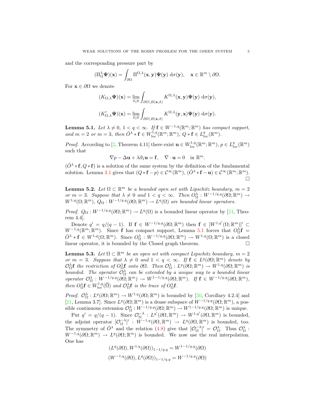and the corresponding pressure part by

$$
(\Pi_{\Omega}^{\lambda} \Psi)(\mathbf{x}) = \int_{\partial \Omega} \Pi^{\Omega, \lambda}(\mathbf{x}, \mathbf{y}) \Psi(\mathbf{y}) \, d\sigma(\mathbf{y}), \quad \mathbf{x} \in \mathbb{R}^m \setminus \partial \Omega.
$$

For  $\mathbf{x} \in \partial \Omega$  we denote

$$
(K_{\Omega,\lambda}\Psi)(\mathbf{x}) = \lim_{\delta \downarrow 0} \int_{\partial \Omega \backslash B(\mathbf{x},\delta)} K^{\Omega,\lambda}(\mathbf{x},\mathbf{y}) \Psi(\mathbf{y}) \, d\sigma(\mathbf{y}),
$$

$$
(K'_{\Omega,\lambda}\Psi)(\mathbf{x}) = \lim_{\delta \downarrow 0} \int_{\partial \Omega \backslash B(\mathbf{x},\delta)} K^{\Omega,\lambda}(\mathbf{y},\mathbf{x}) \Psi(\mathbf{y}) \, d\sigma(\mathbf{y}).
$$

**Lemma 5.1.** Let  $\lambda \neq 0, 1 < q < \infty$ . If  $f \in W^{-1,q}(\mathbb{R}^m; \mathbb{R}^m)$  has compact support, and  $m = 2$  or  $m = 3$ , then  $\check{O}^{\lambda} * \mathbf{f} \in W^{1,q}_{loc}(\mathbb{R}^m;\mathbb{R}^m)$ ,  $Q * \mathbf{f} \in L^q_{loc}(\mathbb{R}^m)$ .

*Proof.* According to [2, Theorem 4.11] there exist  $\mathbf{u} \in W^{1,q}_{loc}(\mathbb{R}^m;\mathbb{R}^m)$ ,  $p \in L^q_{loc}(\mathbb{R}^m)$ such that

$$
\nabla p - \Delta \mathbf{u} + \lambda \partial_1 \mathbf{u} = \mathbf{f}, \quad \nabla \cdot \mathbf{u} = 0 \quad \text{in } \mathbb{R}^m.
$$

 $(\check{O}^{\lambda} * f, Q * f)$  is a solution of the same system by the definition of the fundamental solution. Lemma 3.1 gives that  $(Q * f - p) \in C^{\infty}(\mathbb{R}^m)$ ,  $(\breve{O}^{\lambda} * f - u) \in C^{\infty}(\mathbb{R}^m; \mathbb{R}^m)$ .  $\Box$ 

**Lemma 5.2.** Let  $\Omega \subset \mathbb{R}^m$  be a bounded open set with Lipschitz boundary,  $m = 2$ or  $m = 3$ . Suppose that  $\lambda \neq 0$  and  $1 < q < \infty$ . Then  $O_{\Omega}^{\lambda} : W^{-1/q,q}(\partial \Omega; \mathbb{R}^m) \to$  $W^{1,q}(\Omega;\mathbb{R}^m)$ ,  $Q_{\Omega}: W^{-1/q,q}(\partial\Omega;\mathbb{R}^m) \to L^q(\Omega)$  are bounded linear operators.

*Proof.*  $Q_{\Omega}: W^{-1/q,q}(\partial \Omega; \mathbb{R}^m) \to L^q(\Omega)$  is a bounded linear operator by [24, Theorem 4.4].

Denote  $q' = q/(q-1)$ . If  $f \in W^{-1/q,q}(\partial\Omega;\mathbb{R}^m)$  then  $f \in [W^{1,q'}(\Omega;\mathbb{R}^m)]'$  $W^{-1,q}(\mathbb{R}^m;\mathbb{R}^m)$ . Since **f** has compact support, Lemma 5.1 forces that  $O_{\Omega}^{\lambda}$ **f** =  $\check{O}^{\lambda} * \mathbf{f} \in W^{1,q}(\Omega;\mathbb{R}^m)$ . Since  $O_{\Omega}^{\lambda}: W^{-1/q,q}(\partial \Omega;\mathbb{R}^m) \to W^{1,q}(\Omega;\mathbb{R}^m)$  is a closed linear operator, it is bounded by the Closed graph theorem.

**Lemma 5.3.** Let  $\Omega \subset \mathbb{R}^m$  be an open set with compact Lipschitz boundary,  $m = 2$ or  $m = 3$ . Suppose that  $\lambda \neq 0$  and  $1 < q < \infty$ . If  $f \in L^q(\partial\Omega;\mathbb{R}^m)$  denote by  $\mathcal{O}_\Omega^\lambda$ **f** the restriction of  $\mathcal{O}_\Omega^\lambda$ **f** onto  $\partial\Omega$ . Then  $\mathcal{O}_\Omega^\lambda : L^q(\partial\Omega;\mathbb{R}^m) \to W^{1,q}(\partial\Omega;\mathbb{R}^m)$  is bounded. The operator  $\mathcal{O}_\Omega^{\lambda}$  can be extended by a unique way to a bounded linear  $operator \ \mathcal{O}_\Omega^\lambda: W^{-1/q,q}(\partial \Omega;\mathbb{R}^m) \to W^{1-1/q,q}(\partial \Omega;\mathbb{R}^m)$ . If  $\mathbf{f} \in W^{-1/q,q}(\partial \Omega;\mathbb{R}^m)$ , then  $O_{\Omega}^{\lambda} \mathbf{f} \in W_{\text{loc}}^{1,q}(\overline{\Omega})$  and  $\mathcal{O}_{\Omega}^{\lambda} \mathbf{f}$  is the trace of  $O_{\Omega}^{\lambda} \mathbf{f}$ .

*Proof.*  $\mathcal{O}_{\Omega}^{\lambda}: L^q(\partial\Omega;\mathbb{R}^m) \to W^{1,q}(\partial\Omega;\mathbb{R}^m)$  is bounded by [30, Corollary 4.2.4] and [21, Lemma 3.7]. Since  $L^q(\partial\Omega;\mathbb{R}^m)$  is a dense subspace of  $W^{-1/q,q}(\partial\Omega;\mathbb{R}^m)$ , a possible continuous extension  $\mathcal{O}_\Omega^\lambda : W^{-1/q,q}(\partial\Omega;\mathbb{R}^m) \to W^{1-1/q,q}(\partial\Omega;\mathbb{R}^m)$  is unique.

Put  $q' = q/(q-1)$ . Since  $\mathcal{O}_{\Omega}^{-\lambda}: L^{q'}(\partial\Omega, \mathbb{R}^m) \to W^{1,q'}(\partial\Omega, \mathbb{R}^m)$  is bounded, the adjoint operator  $[O_{\Omega}^{-\lambda}]': W^{-1,q}(\partial \Omega, \mathbb{R}^m) \to L^q(\partial \Omega, \mathbb{R}^m)$  is bounded, too. The symmetry of  $\check{O}^{\lambda}$  and the relation (4.8) give that  $[O_{\Omega}^{-\lambda}]' = O_{\Omega}^{\lambda}$ . Thus  $O_{\Omega}^{\lambda}$ :  $W^{-1,q}(\partial\Omega;\mathbb{R}^m) \to L^q(\partial\Omega;\mathbb{R}^m)$  is bounded. We now use the real interpolation. One has

$$
(L^q(\partial\Omega), W^{1,q}(\partial\Omega))_{1-1/q,q} = W^{1-1/q,q}(\partial\Omega)
$$
  

$$
(W^{-1,q}(\partial\Omega), L^q(\partial\Omega))_{1-1/q,q} = W^{-1/q,q}(\partial\Omega)
$$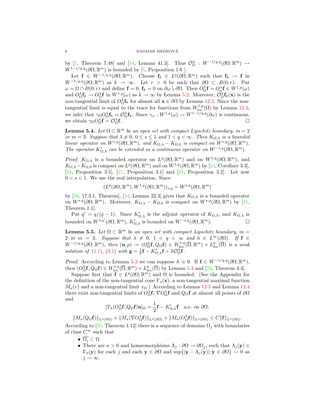by [1, Theorem 7.48] and [34, Lemma 41.3]. Thus  $\mathcal{O}_\Omega^\lambda$ :  $W^{-1/q,q}(\partial\Omega;\mathbb{R}^m) \to$  $W^{1-1/q,q}(\partial\Omega;\mathbb{R}^m)$  is bounded by [8, Proposition 1.6].

Let  $f \in W^{-1/q, q}(\partial\Omega; \mathbb{R}^m)$ . Choose  $f_k \in L^q(\partial\Omega; \mathbb{R}^m)$  such that  $f_k \to f$  in  $W^{-1/q,q}(\partial\Omega;\mathbb{R}^m)$  as  $k \to \infty$ . Let  $r > 0$  be such that  $\partial\Omega \subset B(0;r)$ . Put  $\omega = \Omega \cap B(0; r)$  and define  $\mathbf{f} = 0$ ,  $\mathbf{f}_k = 0$  on  $\partial \omega \setminus \partial \Omega$ . Then  $O_{\Omega}^{\lambda} \mathbf{f} = O_{\omega}^{\lambda} \mathbf{f} \in W^{1,q}(\omega)$ and  $O_{\Omega}^{\lambda} \mathbf{f}_k \to O_{\Omega}^{\lambda} \mathbf{f}$  in  $W^{1,q}(\omega)$  as  $k \to \infty$  by Lemma 5.2. Moreover,  $O_{\Omega}^{\lambda} \mathbf{f}_k(\mathbf{x})$  is the non-tangential limit of  $O_{\Omega}^{\lambda} f_k$  for almost all  $x \in \partial \Omega$  by Lemma 12.3. Since the nontangential limit is equal to the trace for functions from  $W^{1,q}_{loc}(\Omega)$  by Lemma 12.2, we infer that  $\gamma_{\Omega}O_{\Omega}^{\lambda} \mathbf{f}_k = O_{\Omega}^{\lambda} \mathbf{f}_k$ . Since  $\gamma_{\omega}: W^{1,q}(\omega) \to W^{1-1/q,q}(\partial \omega)$  is continuous, we obtain  $\gamma_{\Omega}O^{\lambda}_{\Omega}f = O^{\lambda}_{\Omega}$  $\frac{\partial}{\partial t}$ .

**Lemma 5.4.** Let  $\Omega \subset \mathbb{R}^m$  be an open set with compact Lipschitz boundary,  $m = 2$ or  $m = 3$ . Suppose that  $\lambda \neq 0, 0 \leq s \leq 1$  and  $1 < q < \infty$ . Then  $K_{\Omega,\lambda}$  is a bounded linear operator on  $W^{s,q}(\partial\Omega,\mathbb{R}^m)$ , and  $K_{\Omega,\lambda} - K_{\Omega,0}$  is compact on  $W^{s,q}(\partial\Omega,\mathbb{R}^m)$ . The operator  $K'_{\Omega,\lambda}$  can be extended as a continuous operator on  $W^{-s,q}(\partial\Omega,\mathbb{R}^m)$ .

*Proof.*  $K_{\Omega,\lambda}$  is a bounded operator on  $L^q(\partial\Omega,\mathbb{R}^m)$  and on  $W^{1,q}(\partial\Omega,\mathbb{R}^m)$ , and  $K_{\Omega,\lambda} - K_{\Omega,0}$  is compact on  $L^q(\partial\Omega,\mathbb{R}^m)$  and on  $W^{1,q}(\partial\Omega,\mathbb{R}^m)$  by [24, Corollary 3.3], [24, Proposition 3.5], [21, Proposition 3.1] and [21, Proposition 3.2]. Let now  $0 < s < 1$ . We use the real interpolation. Since

$$
(L^q(\partial\Omega,\mathbb{R}^m),W^{1,q}(\partial\Omega,\mathbb{R}^m))_{s,q}=W^{s,q}(\partial\Omega,\mathbb{R}^m)
$$

by [36, §7.3.1, Theorem], [34, Lemma 22.3] gives that  $K_{\Omega,\lambda}$  is a bounded operator on  $W^{s,q}(\partial\Omega,\mathbb{R}^m)$ . Moreover,  $K_{\Omega,\lambda} - K_{\Omega,0}$  is compact on  $W^{s,q}(\partial\Omega,\mathbb{R}^m)$  by [11, Theorem 1.1].

Put  $q' = q/(q-1)$ . Since  $K'_{\Omega,\lambda}$  is the adjoint operator of  $K_{\Omega,\lambda}$ , and  $K_{\Omega,\lambda}$  is bounded on  $W^{s,q'}(\partial\Omega,\mathbb{R}^m)$ ,  $K'_{\Omega,\lambda}$  is bounded on  $W^{-s,q}(\partial\Omega,\mathbb{R}^m)$ .

**Lemma 5.5.** Let  $\Omega \subset \mathbb{R}^m$  be an open set with compact Lipschitz boundary,  $m =$ 2 or  $m = 3$ . Suppose that  $\lambda \neq 0$ ,  $1 < q < \infty$  and  $h \in L^{\infty}(\partial \Omega)$ . If  $f \in$  $W^{-1/q,q}(\partial\Omega;\mathbb{R}^m)$ , then  $(\mathbf{u},p):=(O_{\Omega}^{\lambda}\mathbf{f},Q_{\Omega}\mathbf{f})\in W^{1,q}_{\mathrm{loc}}(\overline{\Omega};\mathbb{R}^m)\times L^q_{\mathrm{loc}}(\overline{\Omega})$  is a weak solution of (1.1), (3.1) with  $\mathbf{g} = \frac{1}{2}\mathbf{f} - K'_{\Omega,\lambda}\mathbf{f} + h\mathcal{O}_{\Omega}^{\lambda}\mathbf{f}.$ 

*Proof.* According to Lemma 5.3 we can suppose  $h \equiv 0$ . If  $f \in W^{-1/q,q}(\partial\Omega;\mathbb{R}^m)$ , then  $(O_{\Omega}^{\lambda} \mathbf{f}, Q_{\Omega} \mathbf{f}) \in W_{\text{loc}}^{1,q}(\overline{\Omega}; \mathbb{R}^m) \times L_{\text{loc}}^q(\overline{\Omega})$  by Lemma 5.3 and [24, Theorem 4.4].

Suppose first that  $\mathbf{f} \in L^q(\partial\Omega;\mathbb{R}^m)$  and  $\Omega$  is bounded. (See the Appendix for the definition of the non-tangential cone  $\Gamma_a(\mathbf{x})$ , a non-tangential maximal function  $M_a(v)$  and a non-tangential limit  $v_{\Omega}$ .) According to Lemma 12.3 and Lemma 12.4 there exist non-tangential limits of  $O_{\Omega}^{\lambda} f$ ,  $\nabla O_{\Omega}^{\lambda} f$  and  $Q_{\Omega} f$  at almost all points of  $\partial \Omega$ and

$$
[T_{\lambda}(O_{\Omega}^{\lambda} \mathbf{f}, Q_{\Omega} \mathbf{f}) \mathbf{n}]_{\Omega} = \frac{1}{2} \mathbf{f} - K'_{\Omega, \lambda} \mathbf{f} \text{ a.e. on } \partial \Omega,
$$

 $\|M_a(Q_\Omega \mathbf{f})\|_{L^q(\partial\Omega)} + \|M_a(\nabla O_\Omega^\lambda \mathbf{f})\|_{L^q(\partial\Omega)} + \|M_a(O_\Omega^\lambda \mathbf{f})\|_{L^q(\partial\Omega)} \leq C \|\mathbf{f}\|_{L^q(\partial\Omega)}.$ 

According to [38, Theorem 1.12] there is a sequence of domains  $\Omega_j$  with boundaries of class  $C^\infty$  such that

- $\overline{\Omega_i} \subset \Omega$ .
- There are  $a > 0$  and homeomorphisms  $\Lambda_j : \partial \Omega \to \partial \Omega_j$ , such that  $\Lambda_j(y) \in$  $\Gamma_a(\mathbf{y})$  for each j and each  $\mathbf{y} \in \partial\Omega$  and  $\sup\{|\mathbf{y} - \Lambda_j(\mathbf{y})|; \mathbf{y} \in \partial\Omega\} \to 0$  as  $j \rightarrow \infty$ .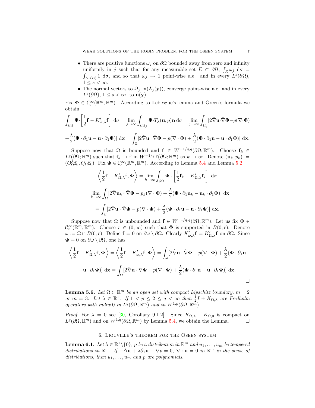- There are positive functions  $\omega_i$  on  $\partial\Omega$  bounded away from zero and infinity uniformly in j such that for any measurable set  $E \subset \partial\Omega$ ,  $\int_E \omega_j d\sigma =$  $\int_{\Lambda_j(E)} 1 \, d\sigma$ , and so that  $\omega_j \to 1$  point-wise a.e. and in every  $L^s(\partial\Omega)$ ,  $1 \leq s < \infty$ .
- The normal vectors to  $\Omega_j$ ,  $\mathbf{n}(\Lambda_j(\mathbf{y}))$ , converge point-wise a.e. and in every  $L^s(\partial\Omega), 1 \leq s < \infty$ , to  $\mathbf{n}(\mathbf{y})$ .

Fix  $\Phi \in \mathcal{C}_c^{\infty}(\mathbb{R}^m, \mathbb{R}^m)$ . According to Lebesgue's lemma and Green's formula we obtain

$$
\int_{\partial\Omega} \mathbf{\Phi} \cdot \left[ \frac{1}{2} \mathbf{f} - K'_{\Omega,\lambda} \mathbf{f} \right] d\sigma = \lim_{j \to \infty} \int_{\partial\Omega_j} \mathbf{\Phi} \cdot T_\lambda(\mathbf{u}, p) \mathbf{n} d\sigma = \lim_{j \to \infty} \int_{\Omega_j} \left[ 2 \hat{\nabla} \mathbf{u} \cdot \hat{\nabla} \mathbf{\Phi} - p(\nabla \cdot \mathbf{\Phi}) \right]
$$

$$
+\frac{\lambda}{2}(\boldsymbol{\Phi}\cdot\partial_1\mathbf{u}-\mathbf{u}\cdot\partial_1\boldsymbol{\Phi})]\,\mathrm{d}\mathbf{x}=\int_{\Omega}\left[2\hat{\nabla}\mathbf{u}\cdot\hat{\nabla}\boldsymbol{\Phi}-p(\nabla\cdot\boldsymbol{\Phi})+\frac{\lambda}{2}(\boldsymbol{\Phi}\cdot\partial_1\mathbf{u}-\mathbf{u}\cdot\partial_1\boldsymbol{\Phi})\right]\,\mathrm{d}\mathbf{x}.
$$

Suppose now that  $\Omega$  is bounded and  $f \in W^{-1/q,q}(\partial \Omega;\mathbb{R}^m)$ . Choose  $f_k \in$  $L^q(\partial\Omega;\mathbb{R}^m)$  such that  $\mathbf{f}_k \to \mathbf{f}$  in  $W^{-1/q,q}(\partial\Omega;\mathbb{R}^m)$  as  $k \to \infty$ . Denote  $(\mathbf{u}_k, p_k) :=$  $(O_{\Omega}^{\lambda} \mathbf{f}_k, Q_{\Omega} \mathbf{f}_k)$ . Fix  $\Phi \in C_c^{\infty}(\mathbb{R}^m, \mathbb{R}^m)$ . According to Lemma 5.4 and Lemma 5.2

$$
\left\langle \frac{1}{2} \mathbf{f} - K'_{\Omega,\lambda} \mathbf{f}, \boldsymbol{\Phi} \right\rangle = \lim_{k \to \infty} \int_{\partial \Omega} \boldsymbol{\Phi} \cdot \left[ \frac{1}{2} \mathbf{f}_k - K'_{\Omega,\lambda} \mathbf{f}_k \right] d\sigma
$$
  
= 
$$
\lim_{k \to \infty} \int_{\Omega} \left[ 2 \hat{\nabla} \mathbf{u}_k \cdot \hat{\nabla} \boldsymbol{\Phi} - p_k (\nabla \cdot \boldsymbol{\Phi}) + \frac{\lambda}{2} (\boldsymbol{\Phi} \cdot \partial_1 \mathbf{u}_k - \mathbf{u}_k \cdot \partial_1 \boldsymbol{\Phi}) \right] d\mathbf{x}
$$
  
= 
$$
\int_{\Omega} \left[ 2 \hat{\nabla} \mathbf{u} \cdot \hat{\nabla} \boldsymbol{\Phi} - p (\nabla \cdot \boldsymbol{\Phi}) + \frac{\lambda}{2} (\boldsymbol{\Phi} \cdot \partial_1 \mathbf{u} - \mathbf{u} \cdot \partial_1 \boldsymbol{\Phi}) \right] d\mathbf{x}.
$$

Suppose now that  $\Omega$  is unbounded and  $f \in W^{-1/q,q}(\partial\Omega;\mathbb{R}^m)$ . Let us fix  $\Phi \in$  $\mathcal{C}_c^{\infty}(\mathbb{R}^m,\mathbb{R}^m)$ . Choose  $r \in (0,\infty)$  such that  $\Phi$  is supported in  $B(0;r)$ . Denote  $\omega := \Omega \cap B(0; r)$ . Define  $\mathbf{f} = 0$  on  $\partial \omega \setminus \partial \Omega$ . Clearly  $K'_{\omega, \lambda} \mathbf{f} = K'_{\Omega, \lambda} \mathbf{f}$  on  $\partial \Omega$ . Since  $\Phi = 0$  on  $\partial \omega \setminus \partial \Omega$ , one has

$$
\left\langle \frac{1}{2} \mathbf{f} - K'_{\Omega,\lambda} \mathbf{f}, \Phi \right\rangle = \left\langle \frac{1}{2} \mathbf{f} - K'_{\omega,\lambda} \mathbf{f}, \Phi \right\rangle = \int_{\omega} \left[ 2 \hat{\nabla} \mathbf{u} \cdot \hat{\nabla} \Phi - p (\nabla \cdot \Phi) + \frac{\lambda}{2} (\Phi \cdot \partial_1 \mathbf{u}) \right] \Delta \mathbf{v}
$$

$$
- \mathbf{u} \cdot \partial_1 \Phi \right) \, d\mathbf{x} = \int_{\Omega} \left[ 2 \hat{\nabla} \mathbf{u} \cdot \hat{\nabla} \Phi - p (\nabla \cdot \Phi) + \frac{\lambda}{2} (\Phi \cdot \partial_1 \mathbf{u} - \mathbf{u} \cdot \partial_1 \Phi) \right] \, d\mathbf{x}.
$$

**Lemma 5.6.** Let  $\Omega \subset \mathbb{R}^m$  be an open set with compact Lipschitz boundary,  $m = 2$ or  $m = 3$ . Let  $\lambda \in \mathbb{R}^1$ . If  $1 < p \leq 2 \leq q < \infty$  then  $\frac{1}{2}I \pm K_{\Omega,\lambda}$  are Fredholm operators with index 0 in  $L^q(\partial\Omega,\mathbb{R}^m)$  and in  $W^{1,p}(\partial\Omega,\mathbb{R}^m)$ .

*Proof.* For  $\lambda = 0$  see [30, Corollary 9.1.2]. Since  $K_{\Omega,\lambda} - K_{\Omega,0}$  is compact on  $L^q(\partial\Omega,\mathbb{R}^m)$  and on  $W^{1,q}(\partial\Omega,\mathbb{R}^m)$  by Lemma 5.4, we obtain the Lemma.

#### 6. Liouville's theorem for the Oseen system

**Lemma 6.1.** Let  $\lambda \in \mathbb{R}^1 \setminus \{0\}$ , p be a distribution in  $\mathbb{R}^m$  and  $u_1, \ldots, u_m$  be tempered distributions in  $\mathbb{R}^m$ . If  $-\Delta \mathbf{u} + \lambda \partial_1 \mathbf{u} + \nabla p = 0$ ,  $\nabla \cdot \mathbf{u} = 0$  in  $\mathbb{R}^m$  in the sense of distributions, then  $u_1, \ldots, u_m$  and p are polynomials.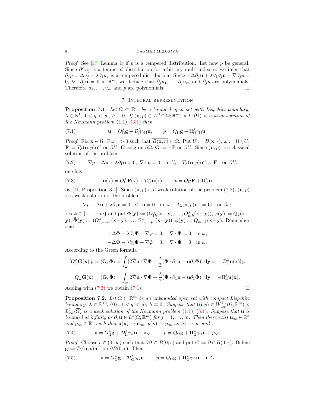*Proof.* See [27, Lemma 1] if p is a tempered distribution. Let now p be general. Since  $\partial^{\alpha} u_j$  is a tempered distribution for arbitrary multi-index  $\alpha$ , we infer that  $\partial_j p = \Delta u_j - \lambda \partial_1 u_j$  is a tempered distribution. Since  $-\Delta \partial_j \mathbf{u} + \lambda \partial_1 \partial_j \mathbf{u} + \nabla \partial_j p =$  $\hat{\theta}, \nabla \cdot \partial_j \mathbf{u} = 0$  in  $\mathbb{R}^m$ , we deduce that  $\partial_j u_1, \dots, \partial_j u_m$  and  $\partial_j p$  are polynomials. Therefore  $u_1, \ldots, u_m$  and p are polynomials.

#### 7. Integral representation

**Proposition 7.1.** Let  $\Omega \subset \mathbb{R}^m$  be a bounded open set with Lispchitz boundary,  $\lambda \in \mathbb{R}^1$ ,  $1 < q < \infty$ ,  $h \equiv 0$ . If  $(\mathbf{u}, p) \in W^{1,q}(\Omega; \mathbb{R}^m) \times L^q(\Omega)$  is a weak solution of the Neumann problem  $(1.1)$ ,  $(3.1)$  then

(7.1) 
$$
\mathbf{u} = O_{\Omega}^{\lambda} \mathbf{g} + \mathcal{D}_{\Omega}^{\lambda} \gamma_{\Omega} \mathbf{u}, \qquad p = Q_{\Omega} \mathbf{g} + \Pi_{\Omega}^{\lambda} \gamma_{\Omega} \mathbf{u}.
$$

*Proof.* Fix  $\mathbf{x} \in \Omega$ . Fix  $r > 0$  such that  $\overline{B(\mathbf{x}; r)} \subset \Omega$ . Put  $U := B(\mathbf{x}; r)$ ,  $\omega := \Omega \setminus \overline{U}$ ,  $\mathbf{F} := T_{\lambda}(\mathbf{u}, p) \mathbf{n}^U$  on  $\partial U$ ,  $\mathbf{G} := \mathbf{g}$  on  $\partial \Omega$ ,  $\mathbf{G} := -\mathbf{F}$  on  $\partial U$ . Since  $(\mathbf{u}, p)$  is a classical solution of the problem

(7.2) 
$$
\nabla p - \Delta \mathbf{u} + \lambda \partial_1 \mathbf{u} = 0, \ \nabla \cdot \mathbf{u} = 0 \quad \text{in } U, \quad T_{\lambda}(\mathbf{u}, p) \mathbf{n}^U = \mathbf{F} \quad \text{on } \partial U,
$$

one has

(7.3) 
$$
\mathbf{u}(\mathbf{x}) = O_U^{\lambda} \mathbf{F}(\mathbf{x}) + \mathcal{D}_U^{\lambda} \mathbf{u}(\mathbf{x}), \qquad p = Q_U \mathbf{F} + \Pi_U^{\lambda} \mathbf{u}
$$

by [21, Proposition 3.4]. Since  $(\mathbf{u}, p)$  is a weak solution of the problem  $(7.2)$ ,  $(\mathbf{u}, p)$ is a weak solution of the problem

$$
\nabla p - \Delta \mathbf{u} + \lambda \partial_1 \mathbf{u} = 0, \ \nabla \cdot \mathbf{u} = 0 \quad \text{in } \omega, \quad T_\lambda(\mathbf{u}, p) \mathbf{n}^\omega = \mathbf{G} \quad \text{on } \partial \omega.
$$

Fix  $k \in \{1, \ldots, m\}$  and put  $\mathbf{\Phi}(\mathbf{y}) := (O_{1k}^{\lambda}(\mathbf{x}-\mathbf{y}), \ldots, O_{mk}^{\lambda}(\mathbf{x}-\mathbf{y})), \varphi(\mathbf{y}) := Q_k(\mathbf{x}-\mathbf{y})$  $(\mathbf{y}), \tilde{\mathbf{\Phi}}(\mathbf{y}) := (O_{1,m+1}^{\lambda}(\mathbf{x}-\mathbf{y}), \ldots, O_{m,m+1}^{\lambda}(\mathbf{x}-\mathbf{y})), \tilde{\varphi}(\mathbf{y}) := Q_{m+1}(\mathbf{x}-\mathbf{y}).$  Remember that

$$
-\Delta \Phi - \lambda \partial_1 \Phi + \nabla \varphi = 0, \quad \nabla \cdot \Phi = 0 \quad \text{in } \omega,
$$
  

$$
-\Delta \tilde{\Phi} - \lambda \partial_1 \tilde{\Phi} + \nabla \tilde{\varphi} = 0, \quad \nabla \cdot \tilde{\Phi} = 0 \quad \text{in } \omega.
$$

According to the Green formula

$$
[O_{\omega}^{\lambda} \mathbf{G}(\mathbf{x})]_{k} = \langle \mathbf{G}, \boldsymbol{\Phi} \rangle = \int_{\omega} \left[ 2 \hat{\nabla} \mathbf{u} \cdot \hat{\nabla} \boldsymbol{\Phi} + \frac{\lambda}{2} (\boldsymbol{\Phi} \cdot \partial_{1} \mathbf{u} - \mathbf{u} \partial_{1} \boldsymbol{\Phi}) \right] d\mathbf{y} = -[\mathcal{D}_{\omega}^{\lambda} \mathbf{u}(\mathbf{x})]_{k},
$$
  

$$
Q_{\omega} \mathbf{G}(\mathbf{x}) = \langle \mathbf{G}, \tilde{\boldsymbol{\Phi}} \rangle = \int_{\omega} \left[ 2 \hat{\nabla} \mathbf{u} \cdot \hat{\nabla} \tilde{\boldsymbol{\Phi}} + \frac{\lambda}{2} (\tilde{\boldsymbol{\Phi}} \cdot \partial_{1} \mathbf{u} - \mathbf{u} \partial_{1} \tilde{\boldsymbol{\Phi}}) \right] d\mathbf{y} = -\Pi_{\omega}^{\lambda} \mathbf{u}(\mathbf{x}).
$$

Adding with  $(7.3)$  we obtain  $(7.1)$ .

**Proposition 7.2.** Let  $\Omega \subset \mathbb{R}^m$  be an unbounded open set with compact Lispchitz boundary,  $\lambda \in \mathbb{R}^1 \setminus \{0\}$ ,  $1 < q < \infty$ ,  $h \equiv 0$ . Suppose that  $(\mathbf{u}, p) \in W^{1,q}_{loc}(\overline{\Omega}; \mathbb{R}^m) \times$  $L^q_{\text{loc}}(\overline{\Omega})$  is a weak solution of the Neumann problem (1.1), (3.1). Suppose that **u** is bounded at infinity or  $\partial_j \mathbf{u} \in L^q(\Omega; \mathbb{R}^m)$  for  $j = 1, \ldots, m$ . Then there exist  $\mathbf{u}_{\infty} \in \mathbb{R}^3$ and  $p_{\infty} \in \mathbb{R}^1$  such that  $\mathbf{u}(\mathbf{x}) \to \mathbf{u}_{\infty}$ ,  $p(\mathbf{x}) \to p_{\infty}$  as  $|\mathbf{x}| \to \infty$  and

(7.4) 
$$
\mathbf{u} = O_{\Omega}^{\lambda} \mathbf{g} + \mathcal{D}_{\Omega}^{\lambda} \gamma_{\Omega} \mathbf{u} + \mathbf{u}_{\infty}, \qquad p = Q_{\Omega} \mathbf{g} + \Pi_{\Omega}^{\lambda} \gamma_{\Omega} \mathbf{u} + p_{\infty}.
$$

*Proof.* Choose  $r \in (0, \infty)$  such that  $\partial \Omega \subset B(0; r)$  and put  $G := \Omega \cap B(0; r)$ . Define  $\mathbf{g} := T_{\lambda}(\mathbf{u}, p) \mathbf{n}^G$  on  $\partial B(0; r)$ . Then

(7.5) 
$$
\mathbf{u} = O_G^{\lambda} \mathbf{g} + \mathcal{D}_G^{\lambda} \gamma_G \mathbf{u}, \qquad p = Q_G \mathbf{g} + \Pi_G^{\lambda} \gamma_G \mathbf{u} \quad \text{in } G
$$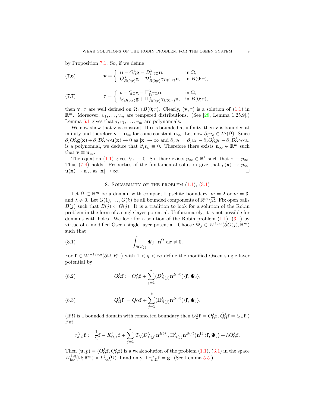by Proposition 7.1. So, if we define

(7.6) 
$$
\mathbf{v} = \begin{cases} \mathbf{u} - O_{\Omega}^{\lambda} \mathbf{g} - \mathcal{D}_{\Omega}^{\lambda} \gamma_{\Omega} \mathbf{u}, & \text{in } \Omega, \\ O_{B(0;r)}^{\lambda} \mathbf{g} + \mathcal{D}_{B(0;r)}^{\lambda} \gamma_{B(0;r)} \mathbf{u}, & \text{in } B(0;r), \end{cases}
$$

(7.7) 
$$
\tau = \begin{cases} p - Q_{\Omega} \mathbf{g} - \Pi_{\Omega}^{\lambda} \gamma_{\Omega} \mathbf{u}, & \text{in } \Omega, \\ Q_{B(0;r)} \mathbf{g} + \Pi_{B(0;r)}^{\lambda} \gamma_{B(0;r)} \mathbf{u}, & \text{in } B(0;r), \end{cases}
$$

then **v**,  $\tau$  are well defined on  $\Omega \cap B(0; r)$ . Clearly,  $(\mathbf{v}, \tau)$  is a solution of (1.1) in  $\mathbb{R}^m$ . Moreover,  $v_1, \ldots, v_m$  are tempered distributions. (See [28, Lemma 1.25.9].) Lemma 6.1 gives that  $\tau, v_1, \ldots, v_m$  are polynomials.

We now show that  $\bf{v}$  is constant. If  $\bf{u}$  is bounded at infinity, then  $\bf{v}$  is bounded at infinity and therefore  $\mathbf{v} \equiv \mathbf{u}_{\infty}$  for some constant  $\mathbf{u}_{\infty}$ . Let now  $\partial_j u_k \in L^q(\Omega)$ . Since  $\partial_j O_\Omega^\lambda \mathbf{g}(\mathbf{x}) + \partial_j \mathcal{D}_\Omega^\lambda \gamma_\Omega \mathbf{u}(\mathbf{x}) \to 0$  as  $|\mathbf{x}| \to \infty$  and  $\partial_j v_k = \partial_j u_k - \partial_j O_\Omega^\lambda g_k - \partial_j \mathcal{D}_\Omega^\lambda \gamma_\Omega u_k$ is a polynomial, we deduce that  $\partial_j v_k \equiv 0$ . Therefore there exists  $\mathbf{u}_{\infty} \in \mathbb{R}^m$  such that  $\mathbf{v} \equiv \mathbf{u}_{\infty}$ .

The equation (1.1) gives  $\nabla \tau \equiv 0$ . So, there exists  $p_{\infty} \in \mathbb{R}^1$  such that  $\tau \equiv p_{\infty}$ . Thus (7.4) holds. Properties of the fundamental solution give that  $p(\mathbf{x}) \to p_{\infty}$ ,  $\mathbf{u}(\mathbf{x}) \to \mathbf{u}_{\infty}$  as  $|\mathbf{x}| \to \infty$ .

#### 8. SOLVABILITY OF THE PROBLEM  $(1.1), (3.1)$

Let  $\Omega \subset \mathbb{R}^m$  be a domain with compact Lipschitz boundary,  $m = 2$  or  $m = 3$ , and  $\lambda \neq 0$ . Let  $G(1), \ldots, G(k)$  be all bounded components of  $\mathbb{R}^m \setminus \overline{\Omega}$ . Fix open balls  $B(j)$  such that  $\overline{B}(j) \subset G(j)$ . It is a tradition to look for a solution of the Robin problem in the form of a single layer potential. Unfortunately, it is not possible for domains with holes. We look for a solution of the Robin problem  $(1.1)$ ,  $(3.1)$  by virtue of a modified Oseen single layer potential. Choose  $\Psi_j \in W^{1,\infty}(\partial G(j), \mathbb{R}^m)$ such that

(8.1) 
$$
\int_{\partial G(j)} \mathbf{\Psi}_j \cdot \mathbf{n}^{\Omega} d\sigma \neq 0.
$$

For  $f \in W^{-1/q,q}(\partial \Omega, R^m)$  with  $1 < q < \infty$  define the modified Oseen single layer potential by

(8.2) 
$$
\tilde{O}_{\Omega}^{\lambda} \mathbf{f} := O_{\Omega}^{\lambda} \mathbf{f} + \sum_{j=1}^{k} (D_{B(j)}^{\lambda} \mathbf{n}^{B(j)}) \langle \mathbf{f}, \mathbf{\Psi}_j \rangle,
$$

(8.3) 
$$
\tilde{Q}_{\Omega}^{\lambda} \mathbf{f} := Q_{\Omega} \mathbf{f} + \sum_{j=1}^{k} (\Pi_{B(j)}^{\lambda} \mathbf{n}^{B(j)}) \langle \mathbf{f}, \mathbf{\Psi}_j \rangle.
$$

(If  $\Omega$  is a bounded domain with connected boundary then  $\tilde{O}_{\Omega}^{\lambda}$ **f** =  $O_{\Omega}^{\lambda}$ **f**,  $\tilde{Q}_{\Omega}^{\lambda}$ **f** =  $Q_{\Omega}$ **f**.) Put

$$
\tau_{h,\Omega}^{\lambda} \mathbf{f} := \frac{1}{2} \mathbf{f} - K'_{\Omega,\lambda} \mathbf{f} + \sum_{j=1}^{k} [T_{\lambda}(D_{B(j)}^{\lambda} \mathbf{n}^{B(j)}, \Pi_{B(j)}^{\lambda} \mathbf{n}^{B(j)}) \mathbf{n}^{\Omega}] \langle \mathbf{f}, \Psi_j \rangle + h \tilde{O}_{\Omega}^{\lambda} \mathbf{f}.
$$

Then  $(\mathbf{u}, p) = (\tilde{O}_{\Omega}^{\lambda} \mathbf{f}, \tilde{Q}_{\Omega}^{\lambda} \mathbf{f})$  is a weak solution of the problem  $(1.1)$ ,  $(3.1)$  in the space  $W^{1,q}_{\text{loc}}(\overline{\Omega};\mathbb{R}^m) \times L^q_{\text{loc}}(\overline{\Omega})$  if and only if  $\tau^{\lambda}_{h,\Omega}$ **f** = **g**. (See Lemma 5.5.)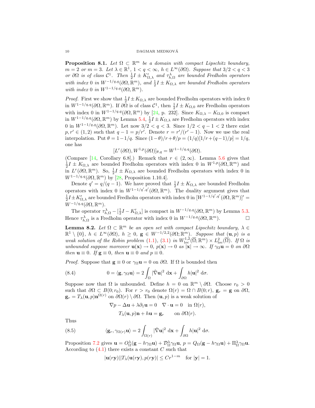**Proposition 8.1.** Let  $\Omega \subset \mathbb{R}^m$  be a domain with compact Lipschitz boundary,  $m = 2 \text{ or } m = 3.$  Let  $\lambda \in \mathbb{R}^1$ ,  $1 < q < \infty$ ,  $h \in L^{\infty}(\partial \Omega)$ . Suppose that  $3/2 < q < 3$ or  $\partial\Omega$  is of class  $C^1$ . Then  $\frac{1}{2}I \pm K'_{\Omega,\lambda}$  and  $\tau_{h,\Omega}^{\lambda}$  are bounded Fredholm operators with index 0 in  $W^{-1/q,q}(\partial\Omega,\mathbb{R}^m)$ , and  $\frac{1}{2}I \pm K_{\Omega,\lambda}$  are bounded Fredholm operators with index 0 in  $W^{1-1/q,q}(\partial\Omega,\mathbb{R}^m)$ .

*Proof.* First we show that  $\frac{1}{2}I \pm K_{\Omega,\lambda}$  are bounded Fredholm operators with index 0 in  $W^{1-1/q,q}(\partial\Omega,\mathbb{R}^m)$ . If  $\partial\Omega$  is of class  $\mathcal{C}^1$ , then  $\frac{1}{2}I \pm K_{\Omega,0}$  are Fredholm operators with index 0 in  $W^{1-1/q,q}(\partial\Omega,\mathbb{R}^m)$  by [24, p. 232]. Since  $K_{\Omega,\lambda} - K_{\Omega,0}$  is compact in  $W^{1-1/q,q}(\partial\Omega,\mathbb{R}^m)$  by Lemma 5.4,  $\frac{1}{2}I \pm K_{\Omega,\lambda}$  are Fredholm operators with index 0 in  $W^{1-1/q,q}(\partial\Omega,\mathbb{R}^m)$ . Let now  $3/2 < q < 3$ . Since  $1/2 < q - 1 < 2$  there exist  $p, r' \in (1, 2)$  such that  $q - 1 = p/r'$ . Denote  $r = r'/(r' - 1)$ . Now we use the real interpolation. Put  $\theta = 1 - 1/q$ . Since  $(1 - \theta)/r + \theta/p = (1/q)[1/r + (q-1)/p] = 1/q$ , one has

$$
[L^r(\partial\Omega), W^{1,p}(\partial\Omega)]_{\theta,q} = W^{1-1/q,q}(\partial\Omega).
$$

(Compare [14, Corollary 6.8].) Remark that  $r \in (2,\infty)$ . Lemma 5.6 gives that  $\frac{1}{2}I \pm K_{\Omega,\lambda}$  are bounded Fredholm operators with index 0 in  $W^{1,p}(\partial\Omega,\mathbb{R}^m)$  and in  $L^r(\partial\Omega,\mathbb{R}^m)$ . So,  $\frac{1}{2}I \pm K_{\Omega,\lambda}$  are bounded Fredholm operators with index 0 in  $W^{1-1/q,q}(\partial\Omega,\mathbb{R}^m)$  by [28, Proposition 1.10.4].

Denote  $q' = q/(q-1)$ . We have proved that  $\frac{1}{2}I \pm K_{\Omega,\lambda}$  are bounded Fredholm operators with index 0 in  $W^{1-1/q',q'}(\partial\Omega,\mathbb{R}^m)$ . The duality argument gives that  $\frac{1}{2}I \pm K'_{\Omega,\lambda}$  are bounded Fredholm operators with index 0 in  $[W^{1-1/q',q'}(\partial\Omega,\mathbb{R}^m)]'$  $W^{-1/q,q}(\partial\Omega,\mathbb{R}^m)$ .

The operator  $\tau_{h,\Omega}^{\lambda} - \left[\frac{1}{2}I - K_{\Omega,\lambda}'\right]$  is compact in  $W^{-1/q,q}(\partial\Omega,\mathbb{R}^m)$  by Lemma 5.3. Hence  $\tau_{h,\Omega}^{\lambda}$  is a Fredholm operator with index 0 in  $W^{-1/q,q}(\partial\Omega,\mathbb{R}^m)$ .

**Lemma 8.2.** Let  $\Omega \subset \mathbb{R}^m$  be an open set with compact Lipschitz boundary,  $\lambda \in$  $\mathbb{R}^1\setminus\{0\},\;h\;\in\;L^\infty(\partial\Omega),\;h\;\geq\;0,\;$ **g**  $\in W^{-1/2,2}(\partial\Omega;\mathbb{R}^m)$ . Suppose that  $(\mathbf{u},p)$  is a weak solution of the Robin problem (1.1), (3.1) in  $W^{1,2}_{loc}(\overline{\Omega};\mathbb{R}^m) \times L^2_{loc}(\overline{\Omega})$ . If  $\Omega$  is unbounded suppose moreover  $\mathbf{u}(\mathbf{x}) \to 0$ ,  $p(\mathbf{x}) \to 0$  as  $|\mathbf{x}| \to \infty$ . If  $\gamma_{\Omega} \mathbf{u} = 0$  on  $\partial \Omega$ then  $\mathbf{u} \equiv 0$ . If  $\mathbf{g} \equiv 0$ , then  $\mathbf{u} \equiv 0$  and  $p \equiv 0$ .

*Proof.* Suppose that  $\mathbf{g} \equiv 0$  or  $\gamma_{\Omega} \mathbf{u} = 0$  on  $\partial \Omega$ . If  $\Omega$  is bounded then

(8.4) 
$$
0 = \langle \mathbf{g}, \gamma_{\Omega} \mathbf{u} \rangle = 2 \int_{\Omega} |\hat{\nabla} \mathbf{u}|^2 \, d\mathbf{x} + \int_{\partial \Omega} h |\mathbf{u}|^2 \, d\sigma.
$$

Suppose now that  $\Omega$  is unbounded. Define  $h = 0$  on  $\mathbb{R}^m \setminus \partial \Omega$ . Choose  $r_0 > 0$ such that  $\partial\Omega \subset B(0;r_0)$ . For  $r > r_0$  denote  $\Omega(r) = \Omega \cap B(0;r)$ ,  $\mathbf{g}_r = \mathbf{g}$  on  $\partial\Omega$ ,  $\mathbf{g}_r = T_\lambda(\mathbf{u}, p) \mathbf{n}^{\Omega(r)}$  on  $\partial \Omega(r) \setminus \partial \Omega$ . Then  $(\mathbf{u}, p)$  is a weak solution of

$$
\nabla p - \Delta \mathbf{u} + \lambda \partial_1 \mathbf{u} = 0 \quad \nabla \cdot \mathbf{u} = 0 \quad \text{in } \Omega(r),
$$

 $T_{\lambda}(\mathbf{u}, p)\mathbf{n} + h\mathbf{u} = \mathbf{g}_r \quad \text{on } \partial\Omega(r).$ 

Thus

(8.5) 
$$
\langle \mathbf{g}_r, \gamma_{\Omega(r)} \mathbf{u} \rangle = 2 \int_{\Omega(r)} |\hat{\nabla} \mathbf{u}|^2 \, \mathrm{d}\mathbf{x} + \int_{\partial \Omega} h |\mathbf{u}|^2 \, \mathrm{d}\sigma.
$$

Proposition 7.2 gives  $\mathbf{u} = O_{\Omega}^{\lambda}(\mathbf{g} - h\gamma_{\Omega}\mathbf{u}) + \mathcal{D}_{\Omega}^{\lambda}\gamma_{\Omega}\mathbf{u}, p = Q_{\Omega}(\mathbf{g} - h\gamma_{\Omega}\mathbf{u}) + \Pi_{\Omega}^{\lambda}\gamma_{\Omega}\mathbf{u}.$ According to  $(4.1)$  there exists a constant C such that

$$
|\mathbf{u}(r\mathbf{y})||T_{\lambda}(\mathbf{u}(r\mathbf{y}), p(r\mathbf{y})| \le Cr^{1-m} \text{ for } |\mathbf{y}| = 1.
$$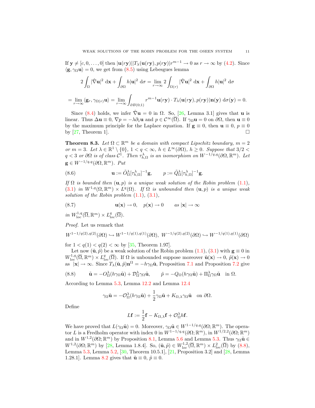If  $y \neq [c, 0, \ldots, 0]$  then  $|u(ry)||T_\lambda(u(ry), p(ry)|r^{m-1} \to 0$  as  $r \to \infty$  by (4.2). Since  $\langle \mathbf{g}, \gamma_{\Omega} \mathbf{u} \rangle = 0$ , we get from (8.5) using Lebesgues lemma

$$
2\int_{\Omega} |\hat{\nabla} \mathbf{u}|^2 d\mathbf{x} + \int_{\partial \Omega} h|\mathbf{u}|^2 d\sigma = \lim_{r \to \infty} 2\int_{\Omega(r)} |\hat{\nabla} \mathbf{u}|^2 d\mathbf{x} + \int_{\partial \Omega} h|\mathbf{u}|^2 d\sigma
$$

$$
= \lim_{r \to \infty} \langle \mathbf{g}_r, \gamma_{\Omega(r)} \mathbf{u} \rangle = \lim_{r \to \infty} \int_{\partial B(0;1)} r^{m-1} \mathbf{u}(r\mathbf{y}) \cdot T_{\lambda}(\mathbf{u}(r\mathbf{y}), p(r\mathbf{y})) \mathbf{n}(\mathbf{y}) d\sigma(\mathbf{y}) = 0.
$$

Since (8.4) holds, we infer  $\hat{\nabla}$ **u** = 0 in  $\Omega$ . So, [26, Lemma 3.1] gives that **u** is linear. Thus  $\Delta \mathbf{u} \equiv 0$ ,  $\nabla p = -\lambda \partial_1 \mathbf{u}$  and  $p \in \mathcal{C}^{\infty}(\overline{\Omega})$ . If  $\gamma_{\Omega} \mathbf{u} = 0$  on  $\partial \Omega$ , then  $\mathbf{u} \equiv 0$ by the maximum principle for the Laplace equation. If  $g \equiv 0$ , then  $u \equiv 0$ ,  $p \equiv 0$ by  $[27,$  Theorem 1].

**Theorem 8.3.** Let  $\Omega \subset \mathbb{R}^m$  be a domain with compact Lipschitz boundary,  $m = 2$ or  $m = 3$ . Let  $\lambda \in \mathbb{R}^1 \setminus \{0\}$ ,  $1 < q < \infty$ ,  $h \in L^{\infty}(\partial \Omega)$ ,  $h \geq 0$ . Suppose that  $3/2 <$  $q < 3$  or  $\partial\Omega$  is of class  $\mathcal{C}^1$ . Then  $\tau_{h,\Omega}^{\lambda}$  is an isomorphism on  $W^{-1/q,q}(\partial\Omega,\mathbb{R}^m)$ . Let  $\mathbf{g} \in W^{-1/q,q}(\partial\Omega,\mathbb{R}^m)$ . Put

(8.6) 
$$
\mathbf{u} := \tilde{O}_{\Omega}^{\lambda} [\tau_{h,\Omega}^{\lambda}]^{-1} \mathbf{g}, \qquad p := \tilde{Q}_{\Omega}^{\lambda} [\tau_{h,\Omega}^{\lambda}]^{-1} \mathbf{g}.
$$

If  $\Omega$  is bounded then  $(\mathbf{u}, p)$  is a unique weak solution of the Robin problem  $(1.1)$ , (3.1) in  $W^{1,q}(\Omega, \mathbb{R}^m) \times L^q(\Omega)$ . If  $\Omega$  is unbounded then  $(\mathbf{u}, p)$  is a unique weak solution of the Robin problem  $(1.1)$ ,  $(3.1)$ ,

(8.7) 
$$
\mathbf{u}(\mathbf{x}) \to 0, \quad p(\mathbf{x}) \to 0 \quad \text{as } |\mathbf{x}| \to \infty
$$

in  $W^{1,q}_{\text{loc}}(\overline{\Omega}, \mathbb{R}^m) \times L^q_{\text{loc}}(\overline{\Omega})$ .

Proof. Let us remark that

$$
W^{1-1/q(2),q(2)}(\partial\Omega)\hookrightarrow W^{1-1/q(1),q(1)}(\partial\Omega),\ W^{-1/q(2),q(2)}(\partial\Omega)\hookrightarrow W^{-1/q(1),q(1)}(\partial\Omega)
$$

for  $1 < q(1) < q(2) < \infty$  by [35, Theorem 1.97].

Let now  $(\tilde{\mathbf{u}}, \tilde{p})$  be a weak solution of the Robin problem  $(1.1), (3.1)$  with  $\mathbf{g} \equiv 0$  in  $W^{1,q}_{loc}(\overline{\Omega}, \mathbb{R}^m) \times L^q_{loc}(\overline{\Omega})$ . If  $\Omega$  is unbounded suppose moreover  $\tilde{\mathbf{u}}(\mathbf{x}) \to 0$ ,  $\tilde{p}(\mathbf{x}) \to 0$ as  $|\mathbf{x}| \to \infty$ . Since  $T_{\lambda}(\tilde{\mathbf{u}}, \tilde{p}) \mathbf{n}^{\Omega} = -h\gamma_{\Omega}\tilde{\mathbf{u}},$  Proposition 7.1 and Proposition 7.2 give

(8.8) 
$$
\tilde{\mathbf{u}} = -Q_{\Omega}^{\lambda}(h\gamma_{\Omega}\tilde{\mathbf{u}}) + \mathcal{D}_{\Omega}^{\lambda}\gamma_{\Omega}\tilde{\mathbf{u}}, \qquad \tilde{p} = -Q_{\Omega}(h\gamma_{\Omega}\tilde{\mathbf{u}}) + \Pi_{\Omega}^{\lambda}\gamma_{\Omega}\tilde{\mathbf{u}} \quad \text{in } \Omega.
$$

According to Lemma 5.3, Lemma 12.2 and Lemma 12.4

$$
\gamma_{\Omega}\tilde{\mathbf{u}} = -\mathcal{O}_{\Omega}^{\lambda}(h\gamma_{\Omega}\tilde{\mathbf{u}}) + \frac{1}{2}\gamma_{\Omega}\tilde{\mathbf{u}} + K_{\Omega,\lambda}\gamma_{\Omega}\tilde{\mathbf{u}} \text{ on } \partial\Omega.
$$

Define

$$
L\mathbf{f} := \frac{1}{2}\mathbf{f} - K_{\Omega,\lambda}\mathbf{f} + \mathcal{O}_{\Omega}^{\lambda}h\mathbf{f}.
$$

We have proved that  $L(\gamma_{\Omega} \tilde{\mathbf{u}}) = 0$ . Moreover,  $\gamma_{\Omega} \tilde{\mathbf{u}} \in W^{1-1/q,q}(\partial \Omega; \mathbb{R}^m)$ . The operator L is a Fredholm operator with index 0 in  $W^{1-1/q,q}(\partial\Omega;\mathbb{R}^m)$ , in  $W^{1/2,2}(\partial\Omega;\mathbb{R}^m)$ and in  $W^{1,2}(\partial\Omega;\mathbb{R}^m)$  by Proposition 8.1, Lemma 5.6 and Lemma 5.3. Thus  $\gamma_{\Omega}\tilde{\mathbf{u}} \in$  $W^{1,2}(\partial\Omega;\mathbb{R}^m)$  by [28, Lemma 1.8.4]. So,  $(\tilde{\mathbf{u}},\tilde{p})\in W^{1,2}_{loc}(\overline{\Omega},\mathbb{R}^m)\times L^2_{loc}(\overline{\Omega})$  by (8.8), Lemma 5.3, Lemma 5.2, [30, Theorem 10.5.1], [21, Proposition 3.2] and [28, Lemma 1.28.1]. Lemma 8.2 gives that  $\tilde{\mathbf{u}} \equiv 0$ ,  $\tilde{p} \equiv 0$ .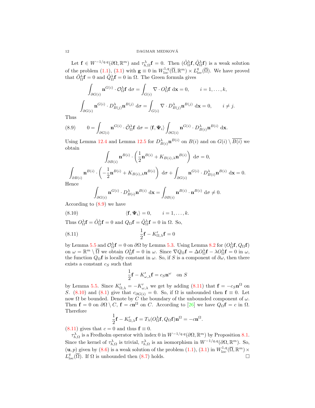Let  $\mathbf{f} \in W^{-1/q,q}(\partial\Omega,\mathbb{R}^m)$  and  $\tau_{h,\Omega}^{\lambda}\mathbf{f}=0$ . Then  $(\tilde{O}_{\Omega}^{\lambda}\mathbf{f},\tilde{Q}_{\Omega}^{\lambda}\mathbf{f})$  is a weak solution of the problem (1.1), (3.1) with  $\mathbf{g} \equiv 0$  in  $W^{1,q}_{loc}(\overline{\Omega}, \mathbb{R}^m) \times L^q_{loc}(\overline{\Omega})$ . We have proved that  $\tilde{O}_{\Omega}^{\lambda} \mathbf{f} = 0$  and  $\tilde{Q}_{\Omega}^{\lambda} \mathbf{f} = 0$  in  $\Omega$ . The Green formula gives

$$
\int_{\partial G(i)} \mathbf{n}^{G(i)} \cdot \mathcal{O}_{\Omega}^{\lambda} \mathbf{f} d\sigma = \int_{G(i)} \nabla \cdot \mathcal{O}_{\Omega}^{\lambda} \mathbf{f} d\mathbf{x} = 0, \quad i = 1, ..., k,
$$
  

$$
\int_{\partial G(i)} \mathbf{n}^{G(i)} \cdot D_{B(j)}^{\lambda} \mathbf{n}^{B(j)} d\sigma = \int_{G(i)} \nabla \cdot D_{B(j)}^{\lambda} \mathbf{n}^{B(j)} d\mathbf{x} = 0, \quad i \neq j.
$$

Thus

(8.9) 
$$
0 = \int_{\partial G(i)} \mathbf{n}^{G(i)} \cdot \tilde{\mathcal{O}}_{\Omega}^{\lambda} \mathbf{f} d\sigma = \langle \mathbf{f}, \mathbf{\Psi}_i \rangle \int_{\partial G(i)} \mathbf{n}^{G(i)} \cdot D_{B(i)}^{\lambda} \mathbf{n}^{B(i)} d\mathbf{x}.
$$

Using Lemma 12.4 and Lemma 12.5 for  $D_{B(i)}^{\lambda}$   $\mathbf{n}^{B(i)}$  on  $B(i)$  and on  $G(i) \setminus \overline{B(i)}$  we obtain

$$
\int_{\partial B(i)} \mathbf{n}^{B(i)} \cdot \left(\frac{1}{2}\mathbf{n}^{B(i)} + K_{B(i),\lambda}\mathbf{n}^{B(i)}\right) d\sigma = 0,
$$
\n
$$
\int_{\partial B(i)} \mathbf{n}^{B(i)} \cdot \left(-\frac{1}{2}\mathbf{n}^{B(i)} + K_{B(i),\lambda}\mathbf{n}^{B(i)}\right) d\sigma + \int_{\partial G(i)} \mathbf{n}^{G(i)} \cdot D_{B(i)}^{\lambda} \mathbf{n}^{B(i)} d\mathbf{x} = 0.
$$
\nHence,

Hence

$$
\int_{\partial G(i)} \mathbf{n}^{G(i)} \cdot D_{B(i)}^{\lambda} \mathbf{n}^{B(i)} \, \mathrm{d}\mathbf{x} = \int_{\partial B(i)} \mathbf{n}^{B(i)} \cdot \mathbf{n}^{B(i)} \, \mathrm{d}\sigma \neq 0.
$$

According to (8.9) we have

(8.10) 
$$
\langle \mathbf{f}, \mathbf{\Psi}_i \rangle = 0, \qquad i = 1, \dots, k.
$$

Thus  $O_{\Omega}^{\lambda} \mathbf{f} = \tilde{O}_{\Omega}^{\lambda} \mathbf{f} = 0$  and  $Q_{\Omega} \mathbf{f} = \tilde{Q}_{\Omega}^{\lambda} \mathbf{f} = 0$  in  $\Omega$ . So,

(8.11) 
$$
\frac{1}{2}\mathbf{f} - K'_{\Omega,\lambda}\mathbf{f} = 0
$$

by Lemma 5.5 and  $\mathcal{O}_\Omega^{\lambda}$ **f** = 0 on  $\partial\Omega$  by Lemma 5.3. Using Lemma 8.2 for  $(\mathcal{O}_\Omega^{\lambda}$ **f**,  $\mathcal{Q}_\Omega$ **f**) on  $\omega = \mathbb{R}^m \setminus \overline{\Omega}$  we obtain  $O_{\Omega}^{\lambda} \mathbf{f} = 0$  in  $\omega$ . Since  $\nabla Q_{\Omega} \mathbf{f} = \Delta O_{\Omega}^{\lambda} \mathbf{f} - \lambda O_{\Omega}^{\lambda} \mathbf{f} = 0$  in  $\omega$ , the function  $Q_{\Omega}f$  is locally constant in  $\omega$ . So, if S is a component of  $\partial \omega$ , then there exists a constant  $c_S$  such that

$$
\frac{1}{2}\mathbf{f} - K'_{\omega,\lambda}\mathbf{f} = c_S \mathbf{n}^{\omega} \text{ on } S
$$

by Lemma 5.5. Since  $K'_{\Omega,\lambda} = -K'_{\omega,\lambda}$  we get by adding (8.11) that  $\mathbf{f} = -c_S \mathbf{n}^{\Omega}$  on S. (8.10) and (8.1) give that  $c_{\partial G(i)} = 0$ . So, if  $\Omega$  is unbounded then  $f \equiv 0$ . Let now Ω be bounded. Denote by C the boundary of the unbounded component of  $ω$ . Then  $\mathbf{f} = 0$  on  $\partial \Omega \setminus C$ ,  $\mathbf{f} = c \mathbf{n}^{\Omega}$  on C. According to  $[26]$  we have  $Q_{\Omega} \mathbf{f} = c$  in  $\Omega$ . Therefore

$$
\frac{1}{2}\mathbf{f} - K'_{\Omega,\lambda}\mathbf{f} = T_{\lambda}(O_{\Omega}^{\lambda}\mathbf{f},Q_{\Omega}\mathbf{f})\mathbf{n}^{\Omega} = -c\mathbf{n}^{\Omega}.
$$

 $(8.11)$  gives that  $c = 0$  and thus  $\mathbf{f} \equiv 0$ .

 $\tau_{h,\Omega}^{\lambda}$  is a Fredholm operator with index 0 in  $W^{-1/q,q}(\partial\Omega,\mathbb{R}^m)$  by Proposition 8.1. Since the kernel of  $\tau_{h,\Omega}^{\lambda}$  is trivial,  $\tau_{h,\Omega}^{\lambda}$  is an isomorphism in  $W^{-1/q,q}(\partial\Omega,\mathbb{R}^m)$ . So,  $(\mathbf{u}, p)$  given by  $(8.6)$  is a weak solution of the problem  $(1.1)$ ,  $(3.1)$  in  $W^{1,q}_{loc}(\overline{\Omega}, \mathbb{R}^m) \times$  $L^q_{loc}(\overline{\Omega})$ . If  $\Omega$  is unbounded then (8.7) holds.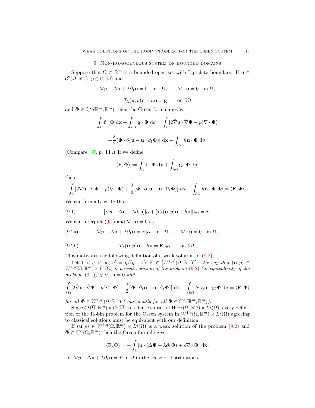#### 9. Non-homogeneous system on bounded domains

Suppose that  $\Omega \subset \mathbb{R}^m$  is a bounded open set with Lipschitz boundary. If  $\mathbf{u} \in$  $\mathcal{C}^2(\overline{\Omega}; \mathbb{R}^m)$ ,  $p \in \mathcal{C}^1(\overline{\Omega})$  and

$$
\nabla p - \Delta \mathbf{u} + \lambda \partial_1 \mathbf{u} = \mathbf{f} \quad \text{in} \quad \Omega, \qquad \nabla \cdot \mathbf{u} = 0 \quad \text{in } \Omega,
$$

$$
T_{\lambda}(\mathbf{u},p)\mathbf{n} + h\mathbf{u} = \mathbf{g} \qquad \text{on } \partial\Omega
$$

and  $\mathbf{\Phi} \in \mathcal{C}_c^{\infty}(\mathbb{R}^m, \mathbb{R}^m)$ , then the Green formula gives

$$
\int_{\Omega} \mathbf{f} \cdot \mathbf{\Phi} \, \mathrm{d}\mathbf{x} + \int_{\partial \Omega} \mathbf{g} \cdot \mathbf{\Phi} \, \mathrm{d}\sigma = \int_{\Omega} [2\hat{\nabla} \mathbf{u} \cdot \hat{\nabla} \mathbf{\Phi} - p(\nabla \cdot \mathbf{\Phi})
$$

$$
+ \frac{\lambda}{2} (\mathbf{\Phi} \cdot \partial_1 \mathbf{u} - \mathbf{u} \cdot \partial_1 \mathbf{\Phi})] \, \mathrm{d}\mathbf{x} + \int_{\partial \Omega} h \mathbf{u} \cdot \mathbf{\Phi} \, \mathrm{d}\sigma.
$$

(Compare [37, p. 14].) If we define

$$
\langle \mathbf{F}, \mathbf{\Phi} \rangle := \int_{\Omega} \mathbf{f} \cdot \mathbf{\Phi} \, \mathrm{d} \mathbf{x} + \int_{\partial \Omega} \mathbf{g} \cdot \mathbf{\Phi} \, \mathrm{d} \sigma,
$$

then

$$
\int_{\Omega} \left[ 2\hat{\nabla} \mathbf{u} \cdot \hat{\nabla} \mathbf{\Phi} - p(\nabla \cdot \mathbf{\Phi}) + \frac{\lambda}{2} (\mathbf{\Phi} \cdot \partial_1 \mathbf{u} - \mathbf{u} \cdot \partial_1 \mathbf{\Phi}) \right] d\mathbf{x} + \int_{\partial \Omega} h \mathbf{u} \cdot \mathbf{\Phi} d\sigma = \langle \mathbf{F}, \mathbf{\Phi} \rangle.
$$

We can formally write that

(9.1) 
$$
[\nabla p - \Delta \mathbf{u} + \lambda \partial_1 \mathbf{u}]|_{\Omega} + [T_{\lambda}(\mathbf{u}, p)\mathbf{n} + h\mathbf{u}]|_{\partial \Omega} = \mathbf{F}.
$$

We can interpret  $(9.1)$  and  $\nabla \cdot \mathbf{u} = 0$  as

(9.2a) 
$$
\nabla p - \Delta \mathbf{u} + \lambda \partial_1 \mathbf{u} = \mathbf{F}|_{\Omega} \text{ in } \Omega, \qquad \nabla \cdot \mathbf{u} = 0 \text{ in } \Omega,
$$

(9.2b) 
$$
T_{\lambda}(\mathbf{u},p)\mathbf{n} + h\mathbf{u} = \mathbf{F}|_{\partial\Omega} \quad \text{on } \partial\Omega.
$$

This motivates the following definition of a weak solution of  $(9.2)$ :

Let  $1 < q < \infty$ ,  $q' = q/(q-1)$ ,  $\mathbf{F} \in [W^{1,q'}(\Omega,\mathbb{R}^m)]'$ . We say that  $(\mathbf{u},p) \in$  $W^{1,q}(\Omega, \mathbb{R}^m) \times L^q(\Omega)$  is a weak solution of the problem  $(9.2)$  (or equivalently of the problem  $(9.1)$ ) if  $\nabla \cdot \mathbf{u} = 0$  and

$$
\int_{\Omega} \left[ 2\hat{\nabla} \mathbf{u} \cdot \hat{\nabla} \mathbf{\Phi} - p(\nabla \cdot \mathbf{\Phi}) + \frac{\lambda}{2} (\mathbf{\Phi} \cdot \partial_1 \mathbf{u} - \mathbf{u} \cdot \partial_1 \mathbf{\Phi}) \right] d\mathbf{x} + \int_{\partial \Omega} h \gamma_{\Omega} \mathbf{u} \cdot \gamma_{\Omega} \mathbf{\Phi} d\sigma = \langle \mathbf{F}, \mathbf{\Phi} \rangle
$$

for all  $\Phi \in W^{1,q'}(\Omega,\mathbb{R}^m)$  (equivalently for all  $\Phi \in C_c^{\infty}(\mathbb{R}^m,\mathbb{R}^m)$ ).

Since  $\mathcal{C}^2(\overline{\Omega}; \mathbb{R}^m) \times \mathcal{C}^1(\overline{\Omega})$  is a dense subset of  $W^{1,q}(\Omega, \mathbb{R}^m) \times L^q(\Omega)$ , every definition of the Robin problem for the Oseen system in  $W^{1,q}(\Omega,\mathbb{R}^m) \times L^q(\Omega)$  agreeing to classical solutions must be equivalent with our definition.

If  $(\mathbf{u}, p) \in W^{1,q}(\Omega, \mathbb{R}^m) \times L^q(\Omega)$  is a weak solution of the problem  $(9.2)$  and  $\Phi \in \mathcal{C}_c^\infty(\Omega;\mathbb{R}^m)$  then the Green formula gives

$$
\langle \mathbf{F}, \mathbf{\Phi} \rangle = -\int_{\Omega} [\mathbf{u} \cdot (\Delta \mathbf{\Phi} + \lambda \partial_1 \mathbf{\Phi}) + p \nabla \cdot \mathbf{\Phi}] \, \mathrm{d}\mathbf{x},
$$

i.e.  $\nabla p - \Delta \mathbf{u} + \lambda \partial_1 \mathbf{u} = \mathbf{F}$  in  $\Omega$  in the sense of distributions.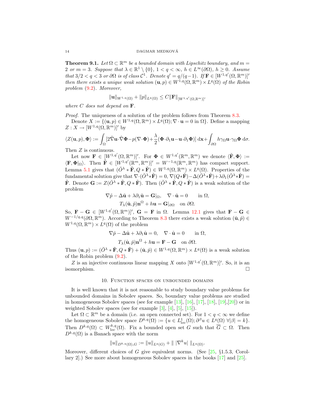**Theorem 9.1.** Let  $\Omega \subset \mathbb{R}^m$  be a bounded domain with Lipschitz boundary, and  $m =$ 2 or  $m = 3$ . Suppose that  $\lambda \in \mathbb{R}^1 \setminus \{0\}$ ,  $1 < q < \infty$ ,  $h \in L^{\infty}(\partial \Omega)$ ,  $h \geq 0$ . Assume that  $3/2 < q < 3$  or  $\partial\Omega$  is of class  $\mathcal{C}^1$ . Denote  $q' = q/(q-1)$ . If  $\mathbf{F} \in [W^{1,q'}(\Omega, \mathbb{R}^m)]'$ then there exists a unique weak solution  $(\mathbf{u}, p) \in W^{1,q}(\Omega, \mathbb{R}^m) \times L^q(\Omega)$  of the Robin problem (9.2). Moreover,

$$
\|\mathbf{u}\|_{W^{1,q}(\Omega)} + \|p\|_{L^q(\Omega)} \leq C \|\mathbf{F}\|_{[W^{1,q'}(\Omega,\mathbb{R}^m)]'}
$$

where  $C$  does not depend on  $\mathbf{F}$ .

*Proof.* The uniqueness of a solution of the problem follows from Theorem 8.3.

Denote  $X := \{(\mathbf{u}, p) \in W^{1,q}(\Omega, \mathbb{R}^m) \times L^q(\Omega); \nabla \cdot \mathbf{u} = 0 \text{ in } \Omega\}$ . Define a mapping  $Z: X \to [W^{1,q}(\Omega, \mathbb{R}^m)]'$  by

$$
\langle Z(\mathbf{u},p),\mathbf{\Phi}\rangle := \int_{\Omega} [2\hat{\nabla}\mathbf{u}\cdot\hat{\nabla}\mathbf{\Phi} - p(\nabla\cdot\mathbf{\Phi}) + \frac{\lambda}{2} (\mathbf{\Phi}\cdot\partial_1\mathbf{u} - \mathbf{u}\cdot\partial_1\mathbf{\Phi})] \, \mathrm{d}\mathbf{x} + \int_{\partial\Omega} h\gamma_{\Omega}\mathbf{u}\cdot\gamma_{\Omega}\mathbf{\Phi} \, \mathrm{d}\sigma.
$$

Then  $Z$  is continuous.

Let now  $\mathbf{F} \in [W^{1,q'}(\Omega,\mathbb{R}^m)]'$ . For  $\mathbf{\Phi} \in W^{1,q'}(\mathbb{R}^m,\mathbb{R}^m)$  we denote  $\langle \tilde{\mathbf{F}}, \mathbf{\Phi} \rangle :=$  $\langle \mathbf{F}, \mathbf{\Phi} |_{\Omega} \rangle$ . Then  $\tilde{\mathbf{F}} \in [W^{1,q'}(\mathbb{R}^m, \mathbb{R}^m)]' = W^{-1,q}(\mathbb{R}^m, \mathbb{R}^m)$  has compact support. Lemma 5.1 gives that  $(\check{O}^\lambda * \tilde{F}, Q * \tilde{F}) \in W^{1,q}(\Omega, \mathbb{R}^m) \times L^q(\Omega)$ . Properties of the fundamental solution give that  $\nabla \cdot (\breve{\partial}^{\lambda} * \tilde{F}) = 0$ ,  $\nabla (Q * \tilde{F}) - \Delta (\breve{\partial}^{\lambda} * \tilde{F}) + \lambda \partial_1 (\breve{\partial}^{\lambda} * \tilde{F}) =$ **F**. Denote  $\mathbf{G} := Z(\check{O}^{\lambda} * \tilde{\mathbf{F}}, Q * \tilde{\mathbf{F}})$ . Then  $(\check{O}^{\lambda} * \tilde{\mathbf{F}}, Q * \tilde{\mathbf{F}})$  is a weak solution of the problem

$$
\nabla \tilde{p} - \Delta \tilde{\mathbf{u}} + \lambda \partial_1 \tilde{\mathbf{u}} = \mathbf{G} |_{\Omega}, \quad \nabla \cdot \tilde{\mathbf{u}} = 0 \quad \text{in } \Omega,
$$

$$
T_{\lambda}(\tilde{\mathbf{u}}, \tilde{p}) \mathbf{n}^{\Omega} + h \mathbf{u} = \mathbf{G} |_{\partial \Omega} \quad \text{on } \partial \Omega.
$$

So,  $\mathbf{F} - \mathbf{G} \in [W^{1,q'}(\Omega,\mathbb{R}^m)]'$ ,  $\mathbf{G} = \mathbf{F}$  in  $\Omega$ . Lemma 12.1 gives that  $\mathbf{F} - \mathbf{G} \in$  $W^{-1/q,q}(\partial\Omega,\mathbb{R}^m)$ . According to Theorem 8.3 there exists a weak solution  $(\hat{\mathbf{u}},\hat{p})\in$  $W^{1,q}(\Omega, \mathbb{R}^m) \times L^q(\Omega)$  of the problem

$$
\nabla \hat{p} - \Delta \hat{\mathbf{u}} + \lambda \partial_1 \hat{\mathbf{u}} = 0, \quad \nabla \cdot \hat{\mathbf{u}} = 0 \quad \text{in } \Omega,
$$

$$
T_{\lambda}(\hat{\mathbf{u}}, \hat{p}) \mathbf{n}^{\Omega} + h \mathbf{u} = \mathbf{F} - \mathbf{G} \quad \text{on } \partial \Omega.
$$

Thus  $(\mathbf{u}, p) := (\check{O}^{\lambda} * \tilde{\mathbf{F}}, Q * \tilde{\mathbf{F}}) + (\hat{\mathbf{u}}, \hat{p}) \in W^{1,q}(\Omega, \mathbb{R}^m) \times L^q(\Omega)$  is a weak solution of the Robin problem (9.2).

Z is an injective continuous linear mapping X onto  $[W^{1,q'}(\Omega,\mathbb{R}^m)]'$ . So, it is an isomorphism.

#### 10. Function spaces on unbounded domains

It is well known that it is not reasonable to study boundary value problems for unbounded domains in Sobolev spaces. So, boundary value problems are studied in homogeneous Sobolev spaces (see for example  $[13]$ ,  $[16]$ ,  $[17]$ ,  $[18]$ ,  $[19]$ ,  $[20]$ ) or in weighted Sobolev spaces (see for example [3], [4], [5], [15]).

Let  $\Omega \subset \mathbb{R}^m$  be a domain (i.e. an open connected set). For  $1 < q < \infty$  we define the homogeneous Sobolev space  $D^{k,q}(\Omega) := \{u \in L^1_{loc}(\Omega) ; \partial^{\beta} u \in L^q(\Omega) \; \forall |\beta| = k\}.$ Then  $D^{k,q}(\Omega) \subset W^{k,q}_{loc}(\Omega)$ . Fix a bounded open set G such that  $\overline{G} \subset \Omega$ . Then  $D^{k,q}(\Omega)$  is a Banach space with the norm

$$
||u||_{D^{k,q}(\Omega),G} := ||u||_{L^q(G)} + |||\nabla^k u||||_{L^q(\Omega)}.
$$

Moreover, different choices of G give equivalent norms. (See  $[25, \, \S1.5.3, \, \text{Corol}$ lary 2].) See more about homogeneous Sobolev spaces in the books [17] and [25].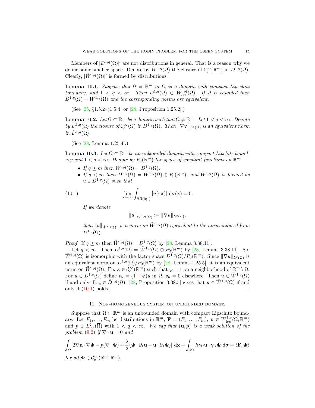Members of  $[D^{1,q}(\Omega)]'$  are not distributions in general. That is a reason why we define some smaller space. Denote by  $\tilde{W}^{1,q}(\Omega)$  the closure of  $\mathcal{C}_c^{\infty}(\mathbb{R}^m)$  in  $D^{1,q}(\Omega)$ . Clearly,  $[\tilde{W}^{1,q}(\Omega)]'$  is formed by distributions.

**Lemma 10.1.** Suppose that  $\Omega = \mathbb{R}^m$  or  $\Omega$  is a domain with compact Lipschitz boundary, and  $1 < q < \infty$ . Then  $D^{1,q}(\Omega) \subset W^{1,q}_{loc}(\overline{\Omega})$ . If  $\Omega$  is bounded then  $D^{1,q}(\Omega) = W^{1,q}(\Omega)$  and the corresponding norms are equivalent.

(See [25, §1.5.2–§1.5.4] or [28, Proposition 1.25.2].)

**Lemma 10.2.** Let  $\Omega \subset \mathbb{R}^m$  be a domain such that  $\overline{\Omega} \neq \mathbb{R}^m$ . Let  $1 < q < \infty$ . Denote by  $\mathring{D}^{1,q}(\Omega)$  the closure of  $\mathcal{C}_c^{\infty}(\Omega)$  in  $D^{1,q}(\Omega)$ . Then  $\|\nabla \varphi\|_{L^q(\Omega)}$  is an equivalent norm in  $\mathring{D}^{1,q}(\Omega)$ .

(See [28, Lemma 1.25.4].)

**Lemma 10.3.** Let  $\Omega \subset \mathbb{R}^m$  be an unbounded domain with compact Lipchitz boundary and  $1 < q < \infty$ . Denote by  $P_0(\mathbb{R}^m)$  the space of constant functions on  $\mathbb{R}^m$ .

- If  $q > m$  then  $\tilde{W}^{1,q}(\Omega) = D^{1,q}(\Omega)$ .
- If  $q < m$  then  $D^{1,q}(\Omega) = \tilde{W}^{1,q}(\Omega) \oplus P_0(\mathbb{R}^m)$ , and  $\tilde{W}^{1,q}(\Omega)$  is formed by  $u \in D^{1,q}(\Omega)$  such that

(10.1) 
$$
\lim_{r \to \infty} \int_{\partial B(0;1)} |u(r\mathbf{x})| d\sigma(\mathbf{x}) = 0.
$$

If we denote

$$
||u||_{\tilde{W}^{1,q}(\Omega)} := ||\nabla u||_{L^q(\Omega)},
$$

then  $||u||_{\tilde{W}^{1,q}(\Omega)}$  is a norm on  $\tilde{W}^{1,q}(\Omega)$  equivalent to the norm induced from  $D^{1,q}(\Omega)$ .

*Proof.* If  $q \geq m$  then  $\tilde{W}^{1,q}(\Omega) = D^{1,q}(\Omega)$  by [28, Lemma 3.38.11].

Let  $q < m$ . Then  $D^{1,q}(\Omega) = \tilde{W}^{1,q}(\Omega) \oplus P_0(\mathbb{R}^m)$  by [28, Lemma 3.38.11]. So,  $\tilde{W}^{1,q}(\Omega)$  is isomorphic with the factor space  $D^{1,q}(\Omega)/P_0(\mathbb{R}^m)$ . Since  $\|\nabla u\|_{L^q(\Omega)}$  is an equivalent norm on  $D^{1,q}(\Omega)/P_0(\mathbb{R}^m)$  by [28, Lemma 1.25.5], it is an equivalent norm on  $\tilde{W}^{1,q}(\Omega)$ . Fix  $\varphi \in \mathcal{C}_c^{\infty}(\mathbb{R}^m)$  such that  $\varphi = 1$  on a neighborhood of  $\mathbb{R}^m \setminus \Omega$ . For  $u \in D^{1,q}(\Omega)$  define  $v_u = (1 - \varphi)u$  in  $\Omega$ ,  $v_u = 0$  elsewhere. Then  $u \in \tilde{W}^{1,q}(\Omega)$ if and only if  $v_u \in \mathring{D}^{1,q}(\Omega)$ . [28, Proposition 3.38.5] gives that  $u \in \tilde{W}^{1,q}(\Omega)$  if and only if  $(10.1)$  holds.

#### 11. Non-homogeneous system on unbounded domains

Suppose that  $\Omega \subset \mathbb{R}^m$  is an unbounded domain with compact Lipschitz boundary. Let  $F_1, \ldots, F_m$  be distributions in  $\mathbb{R}^m$ ,  $\mathbf{F} = (F_1, \ldots, F_m)$ ,  $\mathbf{u} \in W^{1,q}_{loc}(\overline{\Omega}, \mathbb{R}^m)$ and  $p \in L^q_{loc}(\overline{\Omega})$  with  $1 < q < \infty$ . We say that  $(\mathbf{u}, p)$  is a weak solution of the problem  $(9.2)$  if  $\nabla \cdot \mathbf{u} = 0$  and

$$
\int_{\Omega} \left[ 2\hat{\nabla} \mathbf{u} \cdot \hat{\nabla} \mathbf{\Phi} - p(\nabla \cdot \mathbf{\Phi}) + \frac{\lambda}{2} (\mathbf{\Phi} \cdot \partial_1 \mathbf{u} - \mathbf{u} \cdot \partial_1 \mathbf{\Phi}) \right] d\mathbf{x} + \int_{\partial \Omega} h \gamma_{\Omega} \mathbf{u} \cdot \gamma_{\Omega} \mathbf{\Phi} d\sigma = \langle \mathbf{F}, \mathbf{\Phi} \rangle
$$
  
for all  $\mathbf{\Phi} \in C_c^{\infty}(\mathbb{R}^m, \mathbb{R}^m)$ .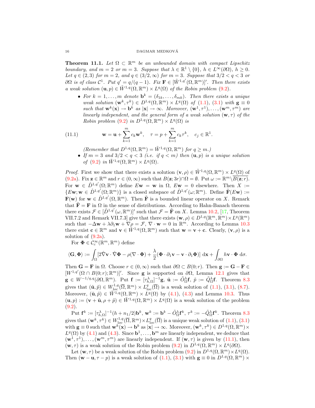#### $\begin{array}{lll} \text{DAGMAR MEDKOVA} \end{array}$

**Theorem 11.1.** Let  $\Omega \subset \mathbb{R}^m$  be an unbounded domain with compact Lipschitz boundary, and  $m = 2$  or  $m = 3$ . Suppose that  $\lambda \in \mathbb{R}^1 \setminus \{0\}$ ,  $h \in L^{\infty}(\partial \Omega)$ ,  $h \geq 0$ . Let  $q \in (2,3)$  for  $m=2$ , and  $q \in (3/2,\infty)$  for  $m=3$ . Suppose that  $3/2 < q < 3$  or  $\partial\Omega$  is of class  $\mathcal{C}^1$ . Put  $q' = q/(q-1)$ . Fix  $\mathbf{F} \in [\tilde{W}^{1,q'}(\Omega,\mathbb{R}^m)]'$ . Then there exists a weak solution  $(\mathbf{u}, p) \in \tilde{W}^{1,q}(\Omega, \mathbb{R}^m) \times L^q(\Omega)$  of the Robin problem (9.2).

• For  $k = 1, ..., m$  denote  $\mathbf{b}^k = (\delta_{1k}, ..., \delta_{mk})$ . Then there exists a unique weak solution  $(\mathbf{w}^k, \tau^k) \in D^{1,q}(\Omega, \mathbb{R}^m) \times L^q(\Omega)$  of  $(1.1)$ ,  $(3.1)$  with  $\mathbf{g} \equiv 0$ such that  $\mathbf{w}^k(\mathbf{x}) \to \mathbf{b}^k$  as  $|\mathbf{x}| \to \infty$ . Moreover,  $(\mathbf{w}^1, \tau^1), \dots, (\mathbf{w}^m, \tau^m)$  are linearly independent, and the general form of a weak solution  $(\mathbf{w}, \tau)$  of the Robin problem (9.2) in  $D^{1,q}(\Omega,\mathbb{R}^m)\times L^q(\Omega)$  is

(11.1) 
$$
\mathbf{w} = \mathbf{u} + \sum_{k=1}^{m} c_k \mathbf{w}^k, \quad \tau = p + \sum_{k=1}^{m} c_k \tau^k, \quad c_j \in \mathbb{R}^1.
$$

(Remember that  $D^{1,q}(\Omega,\mathbb{R}^m) = \tilde{W}^{1,q}(\Omega,\mathbb{R}^m)$  for  $q \geq m$ .)

• If  $m = 3$  and  $3/2 < q < 3$  (i.e. if  $q < m$ ) then  $(\mathbf{u}, p)$  is a unique solution of  $(9.2)$  in  $\tilde{W}^{1,q}(\Omega,\mathbb{R}^m)\times L^q(\Omega)$ .

*Proof.* First we show that there exists a solution  $(\mathbf{v}, \rho) \in \tilde{W}^{1,q}(\Omega, \mathbb{R}^m) \times L^q(\Omega)$  of (9.2a). Fix  $\mathbf{z} \in \mathbb{R}^m$  and  $r \in (0, \infty)$  such that  $B(\mathbf{z}; 3r) \cap \Omega = \emptyset$ . Put  $\omega := \mathbb{R}^m \setminus \overline{B(\mathbf{z}; r)}$ . For  $\mathbf{w} \in \mathring{D}^{1,q'}(\Omega;\mathbb{R}^m)$  define  $E\mathbf{w} = \mathbf{w}$  in  $\Omega$ ,  $E\mathbf{w} = 0$  elsewhere. Then  $X :=$  $\{E_{\mathbf{W}}; \mathbf{w} \in \mathring{D}^{1,q'}(\Omega;\mathbb{R}^m)\}\$ is a closed subspace of  $\mathring{D}^{1,q'}(\omega;\mathbb{R}^m)$ . Define  $\tilde{\mathbf{F}}(E_{\mathbf{W}}):=$  $\mathbf{F}(\mathbf{w})$  for  $\mathbf{w} \in \mathring{D}^{1,q'}(\Omega,\mathbb{R}^m)$ . Then  $\tilde{\mathbf{F}}$  is a bounded linear operator on X. Remark that  $\tilde{\mathbf{F}} = \mathbf{F}$  in  $\Omega$  in the sense of distributions. According to Hahn-Banach theorem there exists  $\mathcal{F} \in [\mathring{D}^{1,q'}(\omega,\mathbb{R}^m)]'$  such that  $\mathcal{F} = \tilde{\mathbf{F}}$  on X. Lemma 10.2, [17, Theorem VII.7.2 and Remark VII.7.3 give that there exists  $(\mathbf{w}, \rho) \in D^{1,q}(\mathbb{R}^m, \mathbb{R}^m) \times L^q(\mathbb{R}^m)$ such that  $-\Delta \mathbf{w} + \lambda \partial_1 \mathbf{w} + \nabla \rho = \mathcal{F}, \nabla \cdot \mathbf{w} = 0$  in  $\mathbb{R}^m$ . According to Lemma 10.3 there exist  $\mathbf{c} \in \mathbb{R}^m$  and  $\mathbf{v} \in \tilde{W}^{1,q}(\Omega,\mathbb{R}^m)$  such that  $\mathbf{w} = \mathbf{v} + \mathbf{c}$ . Clearly,  $(\mathbf{v}, \rho)$  is a solution of (9.2a).

For  $\Phi \in \overset{\circ}{\mathcal{C}}_c^{\infty}(\mathbb{R}^m, \mathbb{R}^m)$  define

$$
\langle \mathbf{G}, \mathbf{\Phi} \rangle := \int_{\Omega} \left[ 2 \hat{\nabla} \mathbf{v} \cdot \hat{\nabla} \mathbf{\Phi} - \rho (\nabla \cdot \mathbf{\Phi}) + \frac{\lambda}{2} (\mathbf{\Phi} \cdot \partial_1 \mathbf{v} - \mathbf{v} \cdot \partial_1 \mathbf{\Phi}) \right] d\mathbf{x} + \int_{\partial \Omega} h \mathbf{v} \cdot \mathbf{\Phi} d\sigma.
$$

Then  $\mathbf{G} = \mathbf{F}$  in  $\Omega$ . Choose  $r \in (0, \infty)$  such that  $\partial \Omega \subset B(0; r)$ . Then  $\mathbf{g} := \mathbf{G} - \mathbf{F} \in$  $[W^{1,q'}(\Omega \cap B(0;r);\mathbb{R}^m)]'$ . Since **g** is supported on  $\partial\Omega$ , Lemma 12.1 gives that  $\mathbf{g} \in W^{-1/q,q}(\partial\Omega,\mathbb{R}^m)$ . Put  $\mathbf{f} := [\tau_{h,\Omega}^{\lambda}]^{-1}\mathbf{g}$ ,  $\tilde{\mathbf{u}} := \tilde{O}_{\Omega}^{\lambda}\mathbf{f}$ ,  $\tilde{p} := \tilde{Q}_{\Omega}^{\lambda}\mathbf{f}$ . Theorem 8.3 gives that  $(\tilde{\mathbf{u}}, \tilde{p}) \in W^{1,q}_{loc}(\overline{\Omega}, \mathbb{R}^m) \times L^q_{loc}(\overline{\Omega})$  is a weak solution of  $(1.1), (3.1), (8.7)$ . Moreover,  $(\tilde{\mathbf{u}}, \tilde{p}) \in \tilde{W}^{1,q}(\Omega, \mathbb{R}^m) \times L^q(\Omega)$  by (4.1), (4.3) and Lemma 10.3. Thus  $(\mathbf{u}, p) := (\mathbf{v} + \tilde{\mathbf{u}}, \rho + \tilde{p}) \in \tilde{W}^{1,q}(\Omega, \mathbb{R}^m) \times L^q(\Omega)$  is a weak solution of the problem  $(9.2).$ 

Put  $\mathbf{f}^k := [\tau_{h,\Omega}^{\lambda}]^{-1} (h + n_1/2) \mathbf{b}^k$ ,  $\mathbf{w}^k := \mathbf{b}^k - \tilde{O}^{\lambda}_{\Omega} \mathbf{f}^k$ ,  $\tau^k := -\tilde{Q}^{\lambda}_{\Omega} \mathbf{f}^k$ . Theorem 8.3 gives that  $(\mathbf{w}^k, \tau^k) \in W^{1,q}_{loc}(\overline{\Omega}, \mathbb{R}^m) \times L^q_{loc}(\overline{\Omega})$  is a unique weak solution of  $(1.1), (3.1)$ with  $\mathbf{g} \equiv 0$  such that  $\mathbf{w}^k(\mathbf{x}) \to \mathbf{b}^k$  as  $|\mathbf{x}| \to \infty$ . Moreover,  $(\mathbf{w}^k, \tau^k) \in D^{1,q}(\Omega, \mathbb{R}^m) \times$  $L^q(\Omega)$  by (4.1) and (4.3). Since  $\mathbf{b}^1, \ldots, \mathbf{b}^m$  are linearly independent, we deduce that  $(\mathbf{w}^1, \tau^1), \ldots, (\mathbf{w}^m, \tau^m)$  are linearly independent. If  $(\mathbf{w}, \tau)$  is given by (11.1), then  $(\mathbf{w}, \tau)$  is a weak solution of the Robin problem  $(9.2)$  in  $D^{1,q}(\Omega, \mathbb{R}^m) \times L^q(\partial\Omega)$ .

Let  $(\mathbf{w}, \tau)$  be a weak solution of the Robin problem  $(9.2)$  in  $D^{1,q}(\Omega, \mathbb{R}^m) \times L^q(\Omega)$ . Then  $(\mathbf{w} - \mathbf{u}, \tau - p)$  is a weak solution of  $(1.1), (3.1)$  with  $\mathbf{g} \equiv 0$  in  $D^{1,q}(\Omega, \mathbb{R}^m) \times$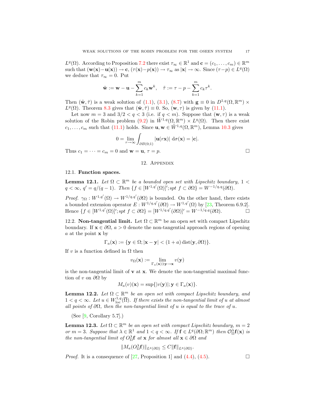$L^q(\Omega)$ . According to Proposition 7.2 there exist  $\tau_\infty \in \mathbb{R}^1$  and  $\mathbf{c} = (c_1, \ldots, c_m) \in \mathbb{R}^m$ such that  $(\mathbf{w}(\mathbf{x}) - \mathbf{u}(\mathbf{x})) \to \mathbf{c}, (\tau(\mathbf{x}) - p(\mathbf{x})) \to \tau_{\infty}$  as  $|\mathbf{x}| \to \infty$ . Since  $(\tau - p) \in L^{q}(\Omega)$ we deduce that  $\tau_{\infty} = 0$ . Put

$$
\tilde{\mathbf{w}} := \mathbf{w} - \mathbf{u} - \sum_{k=1}^{m} c_k \mathbf{w}^k, \quad \tilde{\tau} := \tau - p - \sum_{k=1}^{m} c_k \tau^k.
$$

Then  $(\tilde{\mathbf{w}}, \tilde{\tau})$  is a weak solution of  $(1.1), (3.1), (8.7)$  with  $\mathbf{g} \equiv 0$  in  $D^{1,q}(\Omega, \mathbb{R}^m) \times$  $L^{q}(\Omega)$ . Theorem 8.3 gives that  $(\tilde{\mathbf{w}}, \tilde{\tau}) \equiv 0$ . So,  $(\mathbf{w}, \tau)$  is given by (11.1).

Let now  $m = 3$  and  $3/2 < q < 3$  (i.e. if  $q < m$ ). Suppose that  $(\mathbf{w}, \tau)$  is a weak solution of the Robin problem (9.2) in  $\tilde{W}^{1,q}(\Omega,\mathbb{R}^m) \times L^q(\Omega)$ . Then there exist  $c_1, \ldots, c_m$  such that (11.1) holds. Since  $\mathbf{u}, \mathbf{w} \in \tilde{W}^{1,q}(\Omega, \mathbb{R}^m)$ , Lemma 10.3 gives

$$
0 = \lim_{r \to \infty} \int_{\partial B(0;1)} |\mathbf{u}(r\mathbf{x})| d\sigma(\mathbf{x}) = |\mathbf{c}|.
$$

Thus  $c_1 = \cdots = c_m = 0$  and  $\mathbf{w} = \mathbf{u}, \tau = p$ .

#### 12. Appendix

#### 12.1. Function spaces.

**Lemma 12.1.** Let  $\Omega \subset \mathbb{R}^m$  be a bounded open set with Lipschitz boundary,  $1 <$  $q < \infty$ ,  $q' = q/(q-1)$ . Then  $\{f \in [W^{1,q'}(\Omega)]'; spt \ f \subset \partial\Omega\} = W^{-1/q,q}(\partial\Omega)$ .

Proof.  $\gamma_{\Omega}: W^{1,q'}(\Omega) \to W^{1/q,q'}(\partial \Omega)$  is bounded. On the other hand, there exists a bounded extension operator  $E: W^{1/q,q'}(\partial\Omega) \to W^{1,q'}(\Omega)$  by [23, Theorem 6.9.2]. Hence  $\{f \in [W^{1,q'}(\Omega)]'; spt \ f \subset \partial \Omega\} = [W^{1/q,q'}(\partial \Omega)]' = W^{-1/q,q}(\partial \Omega).$ 

12.2. **Non-tangential limit.** Let  $\Omega \subset \mathbb{R}^m$  be an open set with compact Lipschitz boundary. If  $\mathbf{x} \in \partial \Omega$ ,  $a > 0$  denote the non-tangential approach regions of opening a at the point  $x$  by

$$
\Gamma_a(\mathbf{x}) := \{ \mathbf{y} \in \Omega; |\mathbf{x} - \mathbf{y}| < (1 + a) \operatorname{dist}(\mathbf{y}, \partial \Omega) \}.
$$

If v is a function defined in  $\Omega$  then

$$
v_{\Omega}(\mathbf{x}) := \lim_{\Gamma_a(\mathbf{x}) \ni \mathbf{y} \to \mathbf{x}} v(\mathbf{y})
$$

is the non-tangential limit of  $\bf{v}$  at  $\bf{x}$ . We denote the non-tangential maximal function of v on  $\partial\Omega$  by

$$
M_a(v)(\mathbf{x}) = \sup\{|v(\mathbf{y})|; \mathbf{y} \in \Gamma_a(\mathbf{x})\}.
$$

**Lemma 12.2.** Let  $\Omega \subset \mathbb{R}^m$  be an open set with compact Lipschitz boundary, and  $1 < q < \infty$ . Let  $u \in W^{1,q}_{loc}(\overline{\Omega})$ . If there exists the non-tangential limit of u at almost all points of  $\partial\Omega$ , then the non-tangential limit of u is equal to the trace of u.

(See  $[9,$  Corollary 5.7].)

**Lemma 12.3.** Let  $\Omega \subset \mathbb{R}^m$  be an open set with compact Lipschitz boundary,  $m = 2$ or  $m = 3$ . Suppose that  $\lambda \in \mathbb{R}^1$  and  $1 < q < \infty$ . If  $f \in L^q(\partial\Omega;\mathbb{R}^m)$  then  $\mathcal{O}_\Omega^{\lambda}f(\mathbf{x})$  is the non-tangential limit of  $O_{\Omega}^{\lambda}$ **f** at **x** for almost all **x**  $\in \partial \Omega$  and

$$
||M_a(O_{\Omega}^{\lambda} \mathbf{f})||_{L^q(\partial \Omega)} \leq C ||\mathbf{f}||_{L^q(\partial \Omega)}.
$$

*Proof.* It is a consequence of [27, Proposition 1] and  $(4.4)$ ,  $(4.5)$ .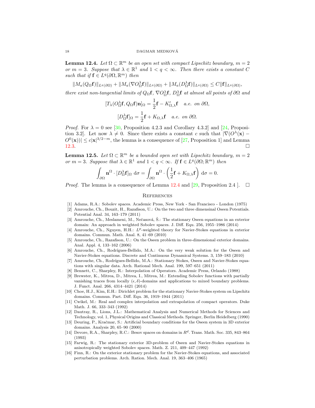**Lemma 12.4.** Let  $\Omega \subset \mathbb{R}^m$  be an open set with compact Lipschitz boundary,  $m = 2$ or  $m = 3$ . Suppose that  $\lambda \in \mathbb{R}^1$  and  $1 < q < \infty$ . Then there exists a constant C such that if  $f \in L^q(\partial\Omega, \mathbb{R}^m)$  then

 $\|M_a(Q_\Omega \mathbf{f})\|_{L^q(\partial\Omega)} + \|M_a(\nabla O_\Omega^\lambda \mathbf{f})\|_{L^q(\partial\Omega)} + \|M_a(D_\Omega^\lambda \mathbf{f})\|_{L^q(\partial\Omega)} \leq C \|\mathbf{f}\|_{L^q(\partial\Omega)},$ 

there exist non-tangential limits of  $Q_{\Omega}$ **f**,  $\nabla O_{\Omega}^{\lambda}$ **f**,  $D_{\Omega}^{\lambda}$ **f** at almost all points of  $\partial\Omega$  and

$$
[T_{\lambda}(O_{\Omega}^{\lambda} \mathbf{f}, Q_{\Omega} \mathbf{f}) \mathbf{n}]_{\Omega} = \frac{1}{2} \mathbf{f} - K'_{\Omega, \lambda} \mathbf{f} \quad a.e. \text{ on } \partial \Omega,
$$

$$
[D_{\Omega}^{\lambda} \mathbf{f}]_{\Omega} = \frac{1}{2} \mathbf{f} + K_{\Omega, \lambda} \mathbf{f} \quad a.e. \text{ on } \partial \Omega.
$$

*Proof.* For  $\lambda = 0$  see [30, Proposition 4.2.3 and Corollary 4.3.2] and [24, Proposition 3.2. Let now  $\lambda \neq 0$ . Since there exists a constant c such that  $|\nabla(O^{\lambda}(\mathbf{x})) O^{0}(\mathbf{x})\leq c|\mathbf{x}|^{3/2-m}$ , the lemma is a consequence of [27, Proposition 1] and Lemma 12.3. □

**Lemma 12.5.** Let  $\Omega \subset \mathbb{R}^m$  be a bounded open set with Lipschitz boundary,  $m = 2$ or  $m = 3$ . Suppose that  $\lambda \in \mathbb{R}^1$  and  $1 < q < \infty$ . If  $f \in L^q(\partial\Omega;\mathbb{R}^m)$  then

$$
\int_{\partial\Omega} \mathbf{n}^{\Omega} \cdot [D_{\Omega}^{\lambda} \mathbf{f}]_{\Omega} d\sigma = \int_{\partial\Omega} \mathbf{n}^{\Omega} \cdot \left(\frac{1}{2}\mathbf{f} + K_{\Omega,\lambda} \mathbf{f}\right) d\sigma = 0.
$$

*Proof.* The lemma is a consequence of Lemma 12.4 and [29, Proposition 2.4 ].  $\Box$ 

#### **REFERENCES**

- [1] Adams, R.A.: Sobolev spaces. Academic Press, New York San Francisco London (1975)
- [2] Amrouche, Ch., Bouzit, H., Razafison, U.: On the two and three dimensinal Oseen Potentials.
- Potential Anal. 34, 163–179 (2011) [3] Amrouche, Ch., Meslameni, M., Nečasová, Š.: The stationary Oseen equations in an exterior domain: An approach in weighted Sobolev spaces. J. Diff. Equ. 256, 1955–1986 (2014)
- [4] Amrouche, Ch., Nguyen, H.H.:  $L^p$ -weighted theory for Navier-Stokes equations in exterior domains. Commun. Math. Anal. 8, 41–69 (2010)
- [5] Amrouche, Ch., Razafison, U.: On the Oseen problem in three-dimensional exterior domains. Anal. Appl. 4, 133–162 (2006)
- [6] Amrouche, Ch., Rodrígues-Bellido, M.A.: On the very weak solution for the Oseen and Navier-Stokes equations. Discrete and Continuous Dynamical Systems. 3, 159–183 (2010)
- [7] Amrouche, Ch., Rodrígues-Bellido, M.A.: Stationary Stokes, Oseen and Navier-Stokes equations with singular data. Arch. Rational Mech. Anal. 199, 597–651 (2011)
- [8] Bennett, C., Sharpley, R.: Interpolation of Operators. Academic Press, Orlando (1988)
- [9] Brewster, K., Mitrea, D., Mitrea, I., Mitrea, M.: Extending Sobolev functions with partially vanishing traces from locally  $(\epsilon, \delta)$ -domains and applications to mixed boundary problems. J. Funct. Anal. 266, 4314–4421 (2014)
- [10] Choe, H.J., Kim, E.H.: Dirichlet problem for the stationary Navier-Stokes system on Lipschitz domains. Commun. Part. Diff. Equ. 36, 1919–1944 (2011)
- [11] Cwikel, M.: Real and complex interpolation and extrapolation of compact operators. Duke Math. J. 66, 333–343 (1992)
- [12] Dautray, R., Lions, J.L.: Mathematical Analysis and Numerical Methods for Sciences and Technology, vol. 1, Physical Origins and Classical Methods. Springer, Berlin Heidelberg (1990)
- [13] Deuring, P., Kračmar, S.: Artificial boundary conditions for the Oseen system in 3D exterior domains. Analysis 20, 65–90 (2000)
- [14] Devore, R.A., Sharpley, R.C.: Besov spaces on domains in  $R^d$ . Trans. Math. Soc. 335, 843–864 (1993)
- [15] Farwig, R.: The stationary exterior 3D-problem of Oseen and Navier-Stokes equations in anisotropically weighted Sobolev spaces. Math. Z. 211, 409–447 (1992)
- [16] Finn, R.: On the exterior stationary problem for the Navier-Stokes equations, and associated perturbation problems. Arch. Ration. Mech. Anal. 19, 363–406 (1965)